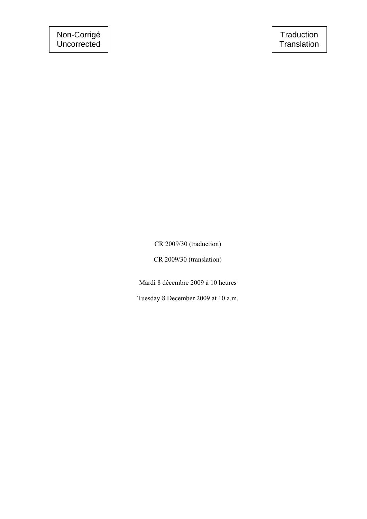CR 2009/30 (traduction)

CR 2009/30 (translation)

Mardi 8 décembre 2009 à 10 heures

Tuesday 8 December 2009 at 10 a.m.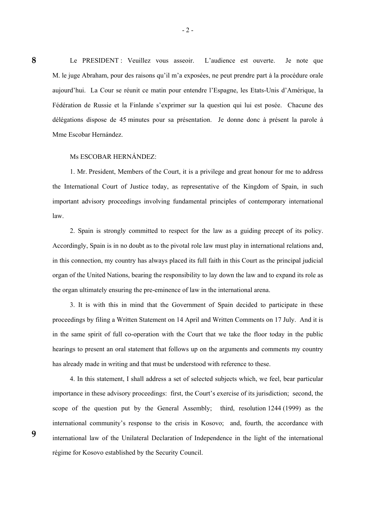Le PRESIDENT : Veuillez vous asseoir. L'audience est ouverte. Je note que M. le juge Abraham, pour des raisons qu'il m'a exposées, ne peut prendre part à la procédure orale aujourd'hui. La Cour se réunit ce matin pour entendre l'Espagne, les Etats-Unis d'Amérique, la Fédération de Russie et la Finlande s'exprimer sur la question qui lui est posée. Chacune des délégations dispose de 45 minutes pour sa présentation. Je donne donc à présent la parole à Mme Escobar Hernández.

- 2 -

#### Ms ESCOBAR HERNÁNDEZ:

 1. Mr. President, Members of the Court, it is a privilege and great honour for me to address the International Court of Justice today, as representative of the Kingdom of Spain, in such important advisory proceedings involving fundamental principles of contemporary international law.

 2. Spain is strongly committed to respect for the law as a guiding precept of its policy. Accordingly, Spain is in no doubt as to the pivotal role law must play in international relations and, in this connection, my country has always placed its full faith in this Court as the principal judicial organ of the United Nations, bearing the responsibility to lay down the law and to expand its role as the organ ultimately ensuring the pre-eminence of law in the international arena.

 3. It is with this in mind that the Government of Spain decided to participate in these proceedings by filing a Written Statement on 14 April and Written Comments on 17 July. And it is in the same spirit of full co-operation with the Court that we take the floor today in the public hearings to present an oral statement that follows up on the arguments and comments my country has already made in writing and that must be understood with reference to these.

 4. In this statement, I shall address a set of selected subjects which, we feel, bear particular importance in these advisory proceedings: first, the Court's exercise of its jurisdiction; second, the scope of the question put by the General Assembly; third, resolution 1244 (1999) as the international community's response to the crisis in Kosovo; and, fourth, the accordance with international law of the Unilateral Declaration of Independence in the light of the international régime for Kosovo established by the Security Council.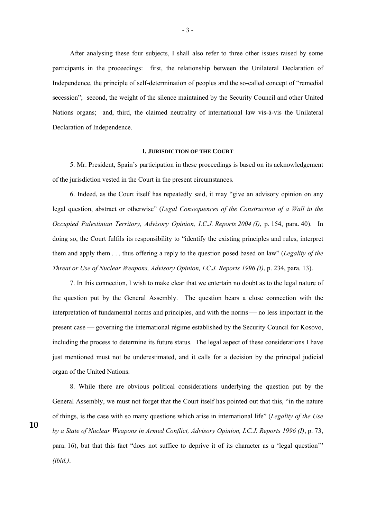After analysing these four subjects, I shall also refer to three other issues raised by some participants in the proceedings: first, the relationship between the Unilateral Declaration of Independence, the principle of self-determination of peoples and the so-called concept of "remedial secession"; second, the weight of the silence maintained by the Security Council and other United Nations organs; and, third, the claimed neutrality of international law vis-à-vis the Unilateral Declaration of Independence.

#### **I. JURISDICTION OF THE COURT**

 5. Mr. President, Spain's participation in these proceedings is based on its acknowledgement of the jurisdiction vested in the Court in the present circumstances.

 6. Indeed, as the Court itself has repeatedly said, it may "give an advisory opinion on any legal question, abstract or otherwise" (*Legal Consequences of the Construction of a Wall in the Occupied Palestinian Territory, Advisory Opinion, I.C.J. Reports 2004 (I)*, p. 154, para. 40). In doing so, the Court fulfils its responsibility to "identify the existing principles and rules, interpret them and apply them . . . thus offering a reply to the question posed based on law" (*Legality of the Threat or Use of Nuclear Weapons, Advisory Opinion, I.C.J. Reports 1996 (I)*, p. 234, para. 13).

 7. In this connection, I wish to make clear that we entertain no doubt as to the legal nature of the question put by the General Assembly. The question bears a close connection with the interpretation of fundamental norms and principles, and with the norms — no less important in the present case — governing the international régime established by the Security Council for Kosovo, including the process to determine its future status. The legal aspect of these considerations I have just mentioned must not be underestimated, and it calls for a decision by the principal judicial organ of the United Nations.

 8. While there are obvious political considerations underlying the question put by the General Assembly, we must not forget that the Court itself has pointed out that this, "in the nature of things, is the case with so many questions which arise in international life" (*Legality of the Use by a State of Nuclear Weapons in Armed Conflict, Advisory Opinion, I.C.J. Reports 1996 (I)*, p. 73, para. 16), but that this fact "does not suffice to deprive it of its character as a 'legal question'" *(ibid.)*.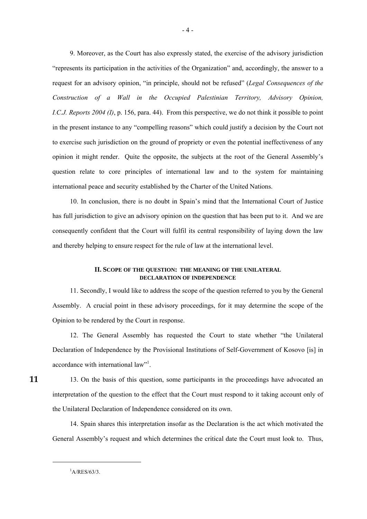9. Moreover, as the Court has also expressly stated, the exercise of the advisory jurisdiction "represents its participation in the activities of the Organization" and, accordingly, the answer to a request for an advisory opinion, "in principle, should not be refused" (*Legal Consequences of the Construction of a Wall in the Occupied Palestinian Territory, Advisory Opinion, I.C.J. Reports 2004 (I)*, p. 156, para. 44). From this perspective, we do not think it possible to point in the present instance to any "compelling reasons" which could justify a decision by the Court not to exercise such jurisdiction on the ground of propriety or even the potential ineffectiveness of any opinion it might render. Quite the opposite, the subjects at the root of the General Assembly's question relate to core principles of international law and to the system for maintaining international peace and security established by the Charter of the United Nations.

 10. In conclusion, there is no doubt in Spain's mind that the International Court of Justice has full jurisdiction to give an advisory opinion on the question that has been put to it. And we are consequently confident that the Court will fulfil its central responsibility of laying down the law and thereby helping to ensure respect for the rule of law at the international level.

# **II. SCOPE OF THE QUESTION: THE MEANING OF THE UNILATERAL DECLARATION OF INDEPENDENCE**

 11. Secondly, I would like to address the scope of the question referred to you by the General Assembly. A crucial point in these advisory proceedings, for it may determine the scope of the Opinion to be rendered by the Court in response.

 12. The General Assembly has requested the Court to state whether "the Unilateral Declaration of Independence by the Provisional Institutions of Self-Government of Kosovo [is] in accordance with international law"<sup>1</sup>.

 13. On the basis of this question, some participants in the proceedings have advocated an interpretation of the question to the effect that the Court must respond to it taking account only of the Unilateral Declaration of Independence considered on its own.

 14. Spain shares this interpretation insofar as the Declaration is the act which motivated the General Assembly's request and which determines the critical date the Court must look to. Thus,

**11** 

-

 ${}^{1}$ A/RES/63/3.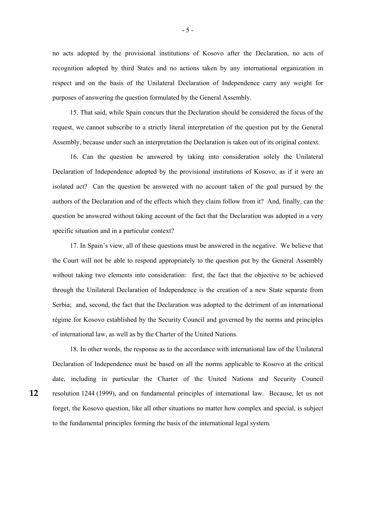no acts adopted by the provisional institutions of Kosovo after the Declaration, no acts of recognition adopted by third States and no actions taken by any international organization in respect and on the basis of the Unilateral Declaration of Independence carry any weight for purposes of answering the question formulated by the General Assembly.

 15. That said, while Spain concurs that the Declaration should be considered the focus of the request, we cannot subscribe to a strictly literal interpretation of the question put by the General Assembly, because under such an interpretation the Declaration is taken out of its original context.

 16. Can the question be answered by taking into consideration solely the Unilateral Declaration of Independence adopted by the provisional institutions of Kosovo, as if it were an isolated act? Can the question be answered with no account taken of the goal pursued by the authors of the Declaration and of the effects which they claim follow from it? And, finally, can the question be answered without taking account of the fact that the Declaration was adopted in a very specific situation and in a particular context?

 17. In Spain's view, all of these questions must be answered in the negative. We believe that the Court will not be able to respond appropriately to the question put by the General Assembly without taking two elements into consideration: first, the fact that the objective to be achieved through the Unilateral Declaration of Independence is the creation of a new State separate from Serbia; and, second, the fact that the Declaration was adopted to the detriment of an international régime for Kosovo established by the Security Council and governed by the norms and principles of international law, as well as by the Charter of the United Nations.

 18. In other words, the response as to the accordance with international law of the Unilateral Declaration of Independence must be based on all the norms applicable to Kosovo at the critical date, including in particular the Charter of the United Nations and Security Council resolution 1244 (1999), and on fundamental principles of international law. Because, let us not forget, the Kosovo question, like all other situations no matter how complex and special, is subject to the fundamental principles forming the basis of the international legal system.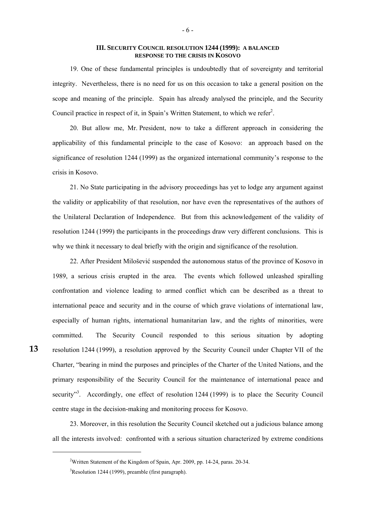# **III. SECURITY COUNCIL RESOLUTION 1244 (1999): A BALANCED RESPONSE TO THE CRISIS IN KOSOVO**

 19. One of these fundamental principles is undoubtedly that of sovereignty and territorial integrity. Nevertheless, there is no need for us on this occasion to take a general position on the scope and meaning of the principle. Spain has already analysed the principle, and the Security Council practice in respect of it, in Spain's Written Statement, to which we refer<sup>2</sup>.

 20. But allow me, Mr. President, now to take a different approach in considering the applicability of this fundamental principle to the case of Kosovo: an approach based on the significance of resolution 1244 (1999) as the organized international community's response to the crisis in Kosovo.

 21. No State participating in the advisory proceedings has yet to lodge any argument against the validity or applicability of that resolution, nor have even the representatives of the authors of the Unilateral Declaration of Independence. But from this acknowledgement of the validity of resolution 1244 (1999) the participants in the proceedings draw very different conclusions. This is why we think it necessary to deal briefly with the origin and significance of the resolution.

 22. After President Milošević suspended the autonomous status of the province of Kosovo in 1989, a serious crisis erupted in the area. The events which followed unleashed spiralling confrontation and violence leading to armed conflict which can be described as a threat to international peace and security and in the course of which grave violations of international law, especially of human rights, international humanitarian law, and the rights of minorities, were committed. The Security Council responded to this serious situation by adopting resolution 1244 (1999), a resolution approved by the Security Council under Chapter VII of the Charter, "bearing in mind the purposes and principles of the Charter of the United Nations, and the primary responsibility of the Security Council for the maintenance of international peace and security<sup>3</sup>. Accordingly, one effect of resolution 1244 (1999) is to place the Security Council centre stage in the decision-making and monitoring process for Kosovo.

 23. Moreover, in this resolution the Security Council sketched out a judicious balance among all the interests involved: confronted with a serious situation characterized by extreme conditions

1

<sup>&</sup>lt;sup>2</sup>Written Statement of the Kingdom of Spain, Apr. 2009, pp. 14-24, paras. 20-34.

<sup>&</sup>lt;sup>3</sup>Resolution 1244 (1999), preamble (first paragraph).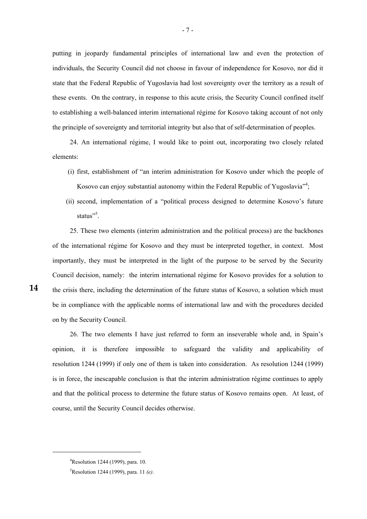putting in jeopardy fundamental principles of international law and even the protection of individuals, the Security Council did not choose in favour of independence for Kosovo, nor did it state that the Federal Republic of Yugoslavia had lost sovereignty over the territory as a result of these events. On the contrary, in response to this acute crisis, the Security Council confined itself to establishing a well-balanced interim international régime for Kosovo taking account of not only the principle of sovereignty and territorial integrity but also that of self-determination of peoples.

 24. An international régime, I would like to point out, incorporating two closely related elements:

- (i) first, establishment of "an interim administration for Kosovo under which the people of Kosovo can enjoy substantial autonomy within the Federal Republic of Yugoslavia<sup>74</sup>;
- (ii) second, implementation of a "political process designed to determine Kosovo's future status"<sup>5</sup>.

 25. These two elements (interim administration and the political process) are the backbones of the international régime for Kosovo and they must be interpreted together, in context. Most importantly, they must be interpreted in the light of the purpose to be served by the Security Council decision, namely: the interim international régime for Kosovo provides for a solution to the crisis there, including the determination of the future status of Kosovo, a solution which must be in compliance with the applicable norms of international law and with the procedures decided on by the Security Council.

 26. The two elements I have just referred to form an inseverable whole and, in Spain's opinion, it is therefore impossible to safeguard the validity and applicability of resolution 1244 (1999) if only one of them is taken into consideration. As resolution 1244 (1999) is in force, the inescapable conclusion is that the interim administration régime continues to apply and that the political process to determine the future status of Kosovo remains open. At least, of course, until the Security Council decides otherwise.

1

<sup>&</sup>lt;sup>4</sup>Resolution 1244 (1999), para. 10.

<sup>5</sup> Resolution 1244 (1999), para. 11 *(e)*.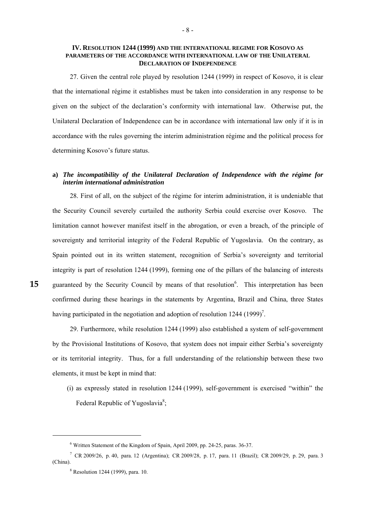# **IV. RESOLUTION 1244 (1999) AND THE INTERNATIONAL REGIME FOR KOSOVO AS PARAMETERS OF THE ACCORDANCE WITH INTERNATIONAL LAW OF THE UNILATERAL DECLARATION OF INDEPENDENCE**

 27. Given the central role played by resolution 1244 (1999) in respect of Kosovo, it is clear that the international régime it establishes must be taken into consideration in any response to be given on the subject of the declaration's conformity with international law. Otherwise put, the Unilateral Declaration of Independence can be in accordance with international law only if it is in accordance with the rules governing the interim administration régime and the political process for determining Kosovo's future status.

# **a)** *The incompatibility of the Unilateral Declaration of Independence with the régime for interim international administration*

 28. First of all, on the subject of the régime for interim administration, it is undeniable that the Security Council severely curtailed the authority Serbia could exercise over Kosovo. The limitation cannot however manifest itself in the abrogation, or even a breach, of the principle of sovereignty and territorial integrity of the Federal Republic of Yugoslavia. On the contrary, as Spain pointed out in its written statement, recognition of Serbia's sovereignty and territorial integrity is part of resolution 1244 (1999), forming one of the pillars of the balancing of interests guaranteed by the Security Council by means of that resolution<sup>6</sup>. This interpretation has been confirmed during these hearings in the statements by Argentina, Brazil and China, three States having participated in the negotiation and adoption of resolution  $1244 \left(1999\right)^7$ .

-

 29. Furthermore, while resolution 1244 (1999) also established a system of self-government by the Provisional Institutions of Kosovo, that system does not impair either Serbia's sovereignty or its territorial integrity. Thus, for a full understanding of the relationship between these two elements, it must be kept in mind that:

 (i) as expressly stated in resolution 1244 (1999), self-government is exercised "within" the Federal Republic of Yugoslavia<sup>8</sup>;

<sup>&</sup>lt;sup>6</sup> Written Statement of the Kingdom of Spain, April 2009, pp. 24-25, paras. 36-37.

<sup>7</sup> CR 2009/26, p. 40, para. 12 (Argentina); CR 2009/28, p. 17, para. 11 (Brazil); CR 2009/29, p. 29, para. 3 (China).

<sup>8</sup> Resolution 1244 (1999), para. 10.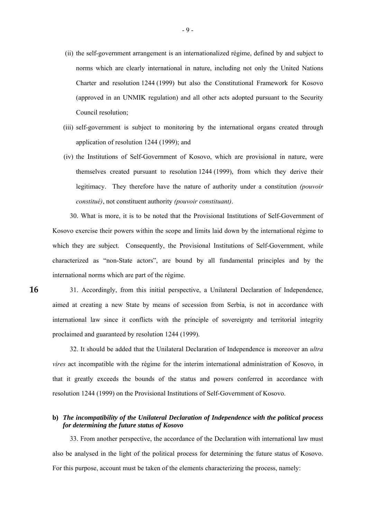- (ii) the self-government arrangement is an internationalized régime, defined by and subject to norms which are clearly international in nature, including not only the United Nations Charter and resolution 1244 (1999) but also the Constitutional Framework for Kosovo (approved in an UNMIK regulation) and all other acts adopted pursuant to the Security Council resolution;
- (iii) self-government is subject to monitoring by the international organs created through application of resolution 1244 (1999); and
- (iv) the Institutions of Self-Government of Kosovo, which are provisional in nature, were themselves created pursuant to resolution 1244 (1999), from which they derive their legitimacy. They therefore have the nature of authority under a constitution *(pouvoir constitué)*, not constituent authority *(pouvoir constituant)*.

 30. What is more, it is to be noted that the Provisional Institutions of Self-Government of Kosovo exercise their powers within the scope and limits laid down by the international régime to which they are subject. Consequently, the Provisional Institutions of Self-Government, while characterized as "non-State actors", are bound by all fundamental principles and by the international norms which are part of the régime.

 31. Accordingly, from this initial perspective, a Unilateral Declaration of Independence, aimed at creating a new State by means of secession from Serbia, is not in accordance with international law since it conflicts with the principle of sovereignty and territorial integrity proclaimed and guaranteed by resolution 1244 (1999).

**16** 

 32. It should be added that the Unilateral Declaration of Independence is moreover an *ultra vires* act incompatible with the régime for the interim international administration of Kosovo, in that it greatly exceeds the bounds of the status and powers conferred in accordance with resolution 1244 (1999) on the Provisional Institutions of Self-Government of Kosovo.

# **b)** *The incompatibility of the Unilateral Declaration of Independence with the political process for determining the future status of Kosovo*

 33. From another perspective, the accordance of the Declaration with international law must also be analysed in the light of the political process for determining the future status of Kosovo. For this purpose, account must be taken of the elements characterizing the process, namely: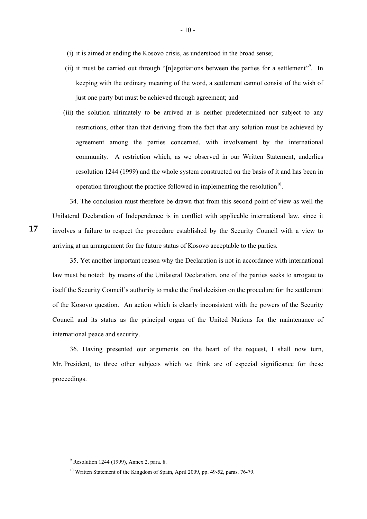- (i) it is aimed at ending the Kosovo crisis, as understood in the broad sense;
- (ii) it must be carried out through "[n]egotiations between the parties for a settlement"<sup>9</sup>. In keeping with the ordinary meaning of the word, a settlement cannot consist of the wish of just one party but must be achieved through agreement; and
- (iii) the solution ultimately to be arrived at is neither predetermined nor subject to any restrictions, other than that deriving from the fact that any solution must be achieved by agreement among the parties concerned, with involvement by the international community. A restriction which, as we observed in our Written Statement, underlies resolution 1244 (1999) and the whole system constructed on the basis of it and has been in operation throughout the practice followed in implementing the resolution<sup>10</sup>.

 34. The conclusion must therefore be drawn that from this second point of view as well the Unilateral Declaration of Independence is in conflict with applicable international law, since it involves a failure to respect the procedure established by the Security Council with a view to arriving at an arrangement for the future status of Kosovo acceptable to the parties.

 35. Yet another important reason why the Declaration is not in accordance with international law must be noted: by means of the Unilateral Declaration, one of the parties seeks to arrogate to itself the Security Council's authority to make the final decision on the procedure for the settlement of the Kosovo question. An action which is clearly inconsistent with the powers of the Security Council and its status as the principal organ of the United Nations for the maintenance of international peace and security.

 36. Having presented our arguments on the heart of the request, I shall now turn, Mr. President, to three other subjects which we think are of especial significance for these proceedings.

1

<sup>&</sup>lt;sup>9</sup> Resolution 1244 (1999), Annex 2, para. 8.

<sup>&</sup>lt;sup>10</sup> Written Statement of the Kingdom of Spain, April 2009, pp. 49-52, paras. 76-79.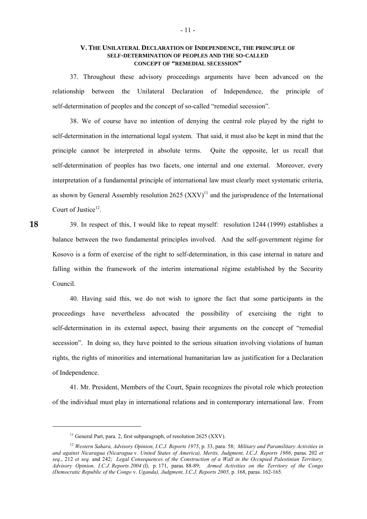### **V. THE UNILATERAL DECLARATION OF INDEPENDENCE, THE PRINCIPLE OF SELF-DETERMINATION OF PEOPLES AND THE SO-CALLED CONCEPT OF "REMEDIAL SECESSION"**

 37. Throughout these advisory proceedings arguments have been advanced on the relationship between the Unilateral Declaration of Independence, the principle of self-determination of peoples and the concept of so-called "remedial secession".

 38. We of course have no intention of denying the central role played by the right to self-determination in the international legal system. That said, it must also be kept in mind that the principle cannot be interpreted in absolute terms. Quite the opposite, let us recall that self-determination of peoples has two facets, one internal and one external. Moreover, every interpretation of a fundamental principle of international law must clearly meet systematic criteria, as shown by General Assembly resolution 2625  $(XXY)^{11}$  and the jurisprudence of the International Court of Justice<sup>12</sup>.

 39. In respect of this, I would like to repeat myself: resolution 1244 (1999) establishes a balance between the two fundamental principles involved. And the self-government régime for Kosovo is a form of exercise of the right to self-determination, in this case internal in nature and falling within the framework of the interim international régime established by the Security Council.

 40. Having said this, we do not wish to ignore the fact that some participants in the proceedings have nevertheless advocated the possibility of exercising the right to self-determination in its external aspect, basing their arguments on the concept of "remedial secession". In doing so, they have pointed to the serious situation involving violations of human rights, the rights of minorities and international humanitarian law as justification for a Declaration of Independence.

 41. Mr. President, Members of the Court, Spain recognizes the pivotal role which protection of the individual must play in international relations and in contemporary international law. From

1

<sup>&</sup>lt;sup>11</sup> General Part, para. 2, first subparagraph, of resolution 2625 (XXV).

<sup>12</sup> *Western Sahara, Advisory Opinion, I.C.J. Reports 1975*, p. 33, para. 58; *Military and Paramilitary Activities in and against Nicaragua (Nicaragua* v. *United States of America), Merits, Judgment, I.C.J. Reports 1986*, paras. 202 *et seq*., 212 *et seq.* and 242; *Legal Consequences of the Construction of a Wall in the Occupied Palestinian Territory, Advisory Opinion, I.C.J. Reports 2004 (I),* p. 171, paras. 88-89; *Armed Activities on the Territory of the Congo (Democratic Republic of the Congo* v. *Uganda), Judgment, I.C.J. Reports 2005,* p. 168, paras. 162-165.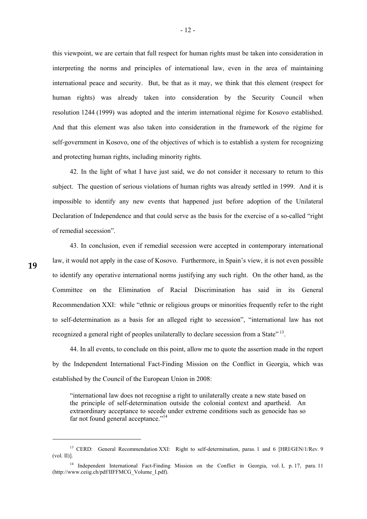this viewpoint, we are certain that full respect for human rights must be taken into consideration in interpreting the norms and principles of international law, even in the area of maintaining international peace and security. But, be that as it may, we think that this element (respect for human rights) was already taken into consideration by the Security Council when resolution 1244 (1999) was adopted and the interim international régime for Kosovo established. And that this element was also taken into consideration in the framework of the régime for self-government in Kosovo, one of the objectives of which is to establish a system for recognizing and protecting human rights, including minority rights.

 42. In the light of what I have just said, we do not consider it necessary to return to this subject. The question of serious violations of human rights was already settled in 1999. And it is impossible to identify any new events that happened just before adoption of the Unilateral Declaration of Independence and that could serve as the basis for the exercise of a so-called "right of remedial secession".

 43. In conclusion, even if remedial secession were accepted in contemporary international law, it would not apply in the case of Kosovo. Furthermore, in Spain's view, it is not even possible to identify any operative international norms justifying any such right. On the other hand, as the Committee on the Elimination of Racial Discrimination has said in its General Recommendation XXI: while "ethnic or religious groups or minorities frequently refer to the right to self-determination as a basis for an alleged right to secession", "international law has not recognized a general right of peoples unilaterally to declare secession from a State" <sup>13</sup>.

 44. In all events, to conclude on this point, allow me to quote the assertion made in the report by the Independent International Fact-Finding Mission on the Conflict in Georgia, which was established by the Council of the European Union in 2008:

"international law does not recognise a right to unilaterally create a new state based on the principle of self-determination outside the colonial context and apartheid. An extraordinary acceptance to secede under extreme conditions such as genocide has so far not found general acceptance."<sup>14</sup>

-

<sup>&</sup>lt;sup>13</sup> CERD: General Recommendation XXI: Right to self-determination, paras. 1 and 6 [HRI/GEN/1/Rev. 9]  $(vol. II)$ ].

<sup>&</sup>lt;sup>14</sup> Independent International Fact-Finding Mission on the Conflict in Georgia, vol. I, p. 17, para. 11 (http://www.ceiig.ch/pdf/IIFFMCG\_Volume\_I.pdf).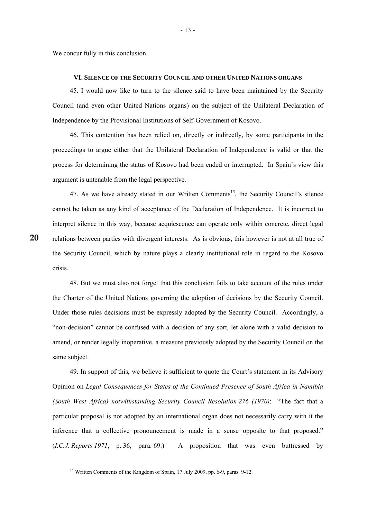We concur fully in this conclusion.

#### **VI. SILENCE OF THE SECURITY COUNCIL AND OTHER UNITED NATIONS ORGANS**

 45. I would now like to turn to the silence said to have been maintained by the Security Council (and even other United Nations organs) on the subject of the Unilateral Declaration of Independence by the Provisional Institutions of Self-Government of Kosovo.

 46. This contention has been relied on, directly or indirectly, by some participants in the proceedings to argue either that the Unilateral Declaration of Independence is valid or that the process for determining the status of Kosovo had been ended or interrupted. In Spain's view this argument is untenable from the legal perspective.

47. As we have already stated in our Written Comments<sup>15</sup>, the Security Council's silence cannot be taken as any kind of acceptance of the Declaration of Independence. It is incorrect to interpret silence in this way, because acquiescence can operate only within concrete, direct legal relations between parties with divergent interests. As is obvious, this however is not at all true of the Security Council, which by nature plays a clearly institutional role in regard to the Kosovo crisis.

 48. But we must also not forget that this conclusion fails to take account of the rules under the Charter of the United Nations governing the adoption of decisions by the Security Council. Under those rules decisions must be expressly adopted by the Security Council. Accordingly, a "non-decision" cannot be confused with a decision of any sort, let alone with a valid decision to amend, or render legally inoperative, a measure previously adopted by the Security Council on the same subject.

 49. In support of this, we believe it sufficient to quote the Court's statement in its Advisory Opinion on *Legal Consequences for States of the Continued Presence of South Africa in Namibia (South West Africa) notwithstanding Security Council Resolution 276 (1970)*: "The fact that a particular proposal is not adopted by an international organ does not necessarily carry with it the inference that a collective pronouncement is made in a sense opposite to that proposed." (*I.C.J. Reports 1971*, p. 36, para. 69.) A proposition that was even buttressed by

-

<sup>&</sup>lt;sup>15</sup> Written Comments of the Kingdom of Spain, 17 July 2009, pp. 6-9, paras. 9-12.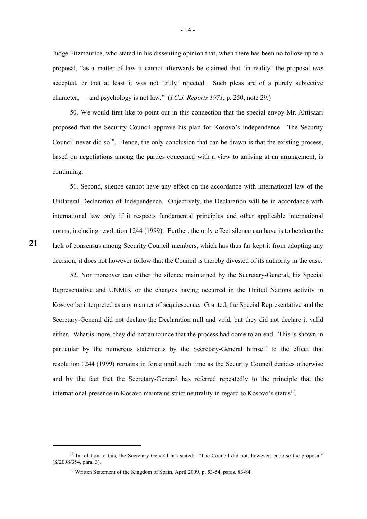Judge Fitzmaurice, who stated in his dissenting opinion that, when there has been no follow-up to a proposal, "as a matter of law it cannot afterwards be claimed that 'in reality' the proposal *was* accepted, or that at least it was not 'truly' rejected. Such pleas are of a purely subjective character, — and psychology is not law." (*I.C.J. Reports 1971*, p. 250, note 29.)

 50. We would first like to point out in this connection that the special envoy Mr. Ahtisaari proposed that the Security Council approve his plan for Kosovo's independence. The Security Council never did so<sup>16</sup>. Hence, the only conclusion that can be drawn is that the existing process, based on negotiations among the parties concerned with a view to arriving at an arrangement, is continuing.

 51. Second, silence cannot have any effect on the accordance with international law of the Unilateral Declaration of Independence. Objectively, the Declaration will be in accordance with international law only if it respects fundamental principles and other applicable international norms, including resolution 1244 (1999). Further, the only effect silence can have is to betoken the lack of consensus among Security Council members, which has thus far kept it from adopting any decision; it does not however follow that the Council is thereby divested of its authority in the case.

 52. Nor moreover can either the silence maintained by the Secretary-General, his Special Representative and UNMIK or the changes having occurred in the United Nations activity in Kosovo be interpreted as any manner of acquiescence. Granted, the Special Representative and the Secretary-General did not declare the Declaration null and void, but they did not declare it valid either. What is more, they did not announce that the process had come to an end. This is shown in particular by the numerous statements by the Secretary-General himself to the effect that resolution 1244 (1999) remains in force until such time as the Security Council decides otherwise and by the fact that the Secretary-General has referred repeatedly to the principle that the international presence in Kosovo maintains strict neutrality in regard to Kosovo's status $^{17}$ .

1

<sup>&</sup>lt;sup>16</sup> In relation to this, the Secretary-General has stated: "The Council did not, however, endorse the proposal" (S/2008/354, para. 3).

<sup>&</sup>lt;sup>17</sup> Written Statement of the Kingdom of Spain, April 2009, p. 53-54, paras. 83-84.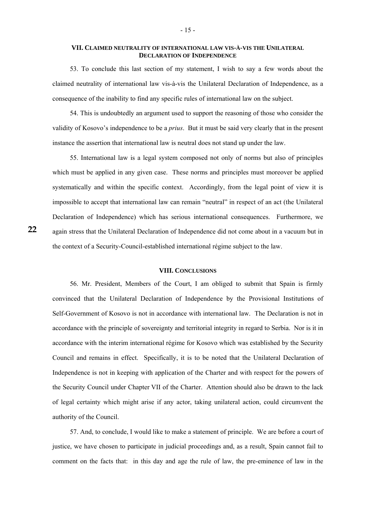### **VII. CLAIMED NEUTRALITY OF INTERNATIONAL LAW VIS-À-VIS THE UNILATERAL DECLARATION OF INDEPENDENCE**

 53. To conclude this last section of my statement, I wish to say a few words about the claimed neutrality of international law vis-à-vis the Unilateral Declaration of Independence, as a consequence of the inability to find any specific rules of international law on the subject.

 54. This is undoubtedly an argument used to support the reasoning of those who consider the validity of Kosovo's independence to be a *prius*. But it must be said very clearly that in the present instance the assertion that international law is neutral does not stand up under the law.

 55. International law is a legal system composed not only of norms but also of principles which must be applied in any given case. These norms and principles must moreover be applied systematically and within the specific context. Accordingly, from the legal point of view it is impossible to accept that international law can remain "neutral" in respect of an act (the Unilateral Declaration of Independence) which has serious international consequences. Furthermore, we again stress that the Unilateral Declaration of Independence did not come about in a vacuum but in the context of a Security-Council-established international régime subject to the law.

# **VIII. CONCLUSIONS**

 56. Mr. President, Members of the Court, I am obliged to submit that Spain is firmly convinced that the Unilateral Declaration of Independence by the Provisional Institutions of Self-Government of Kosovo is not in accordance with international law. The Declaration is not in accordance with the principle of sovereignty and territorial integrity in regard to Serbia. Nor is it in accordance with the interim international régime for Kosovo which was established by the Security Council and remains in effect. Specifically, it is to be noted that the Unilateral Declaration of Independence is not in keeping with application of the Charter and with respect for the powers of the Security Council under Chapter VII of the Charter. Attention should also be drawn to the lack of legal certainty which might arise if any actor, taking unilateral action, could circumvent the authority of the Council.

 57. And, to conclude, I would like to make a statement of principle. We are before a court of justice, we have chosen to participate in judicial proceedings and, as a result, Spain cannot fail to comment on the facts that: in this day and age the rule of law, the pre-eminence of law in the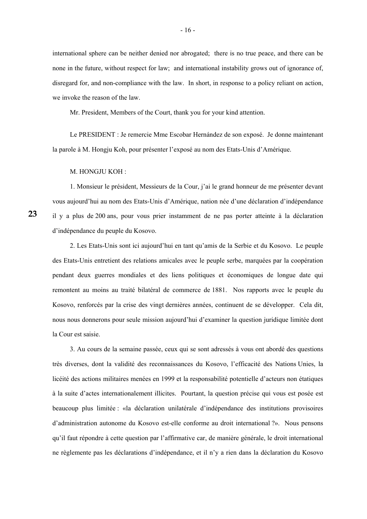international sphere can be neither denied nor abrogated; there is no true peace, and there can be none in the future, without respect for law; and international instability grows out of ignorance of, disregard for, and non-compliance with the law. In short, in response to a policy reliant on action, we invoke the reason of the law.

Mr. President, Members of the Court, thank you for your kind attention.

 Le PRESIDENT : Je remercie Mme Escobar Hernández de son exposé. Je donne maintenant la parole à M. Hongju Koh, pour présenter l'exposé au nom des Etats-Unis d'Amérique.

M. HONGJU KOH :

 1. Monsieur le président, Messieurs de la Cour, j'ai le grand honneur de me présenter devant vous aujourd'hui au nom des Etats-Unis d'Amérique, nation née d'une déclaration d'indépendance il y a plus de 200 ans, pour vous prier instamment de ne pas porter atteinte à la déclaration d'indépendance du peuple du Kosovo.

 2. Les Etats-Unis sont ici aujourd'hui en tant qu'amis de la Serbie et du Kosovo. Le peuple des Etats-Unis entretient des relations amicales avec le peuple serbe, marquées par la coopération pendant deux guerres mondiales et des liens politiques et économiques de longue date qui remontent au moins au traité bilatéral de commerce de 1881. Nos rapports avec le peuple du Kosovo, renforcés par la crise des vingt dernières années, continuent de se développer. Cela dit, nous nous donnerons pour seule mission aujourd'hui d'examiner la question juridique limitée dont la Cour est saisie.

 3. Au cours de la semaine passée, ceux qui se sont adressés à vous ont abordé des questions très diverses, dont la validité des reconnaissances du Kosovo, l'efficacité des Nations Unies, la licéité des actions militaires menées en 1999 et la responsabilité potentielle d'acteurs non étatiques à la suite d'actes internationalement illicites. Pourtant, la question précise qui vous est posée est beaucoup plus limitée : «la déclaration unilatérale d'indépendance des institutions provisoires d'administration autonome du Kosovo est-elle conforme au droit international ?». Nous pensons qu'il faut répondre à cette question par l'affirmative car, de manière générale, le droit international ne règlemente pas les déclarations d'indépendance, et il n'y a rien dans la déclaration du Kosovo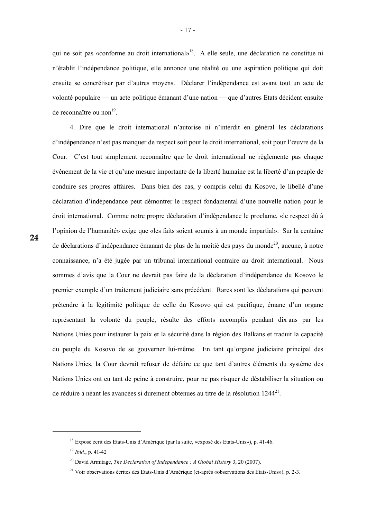qui ne soit pas «conforme au droit international»18. A elle seule, une déclaration ne constitue ni n'établit l'indépendance politique, elle annonce une réalité ou une aspiration politique qui doit ensuite se concrétiser par d'autres moyens. Déclarer l'indépendance est avant tout un acte de volonté populaire — un acte politique émanant d'une nation — que d'autres Etats décident ensuite de reconnaître ou non $^{19}$ .

 4. Dire que le droit international n'autorise ni n'interdit en général les déclarations d'indépendance n'est pas manquer de respect soit pour le droit international, soit pour l'œuvre de la Cour. C'est tout simplement reconnaître que le droit international ne règlemente pas chaque événement de la vie et qu'une mesure importante de la liberté humaine est la liberté d'un peuple de conduire ses propres affaires. Dans bien des cas, y compris celui du Kosovo, le libellé d'une déclaration d'indépendance peut démontrer le respect fondamental d'une nouvelle nation pour le droit international. Comme notre propre déclaration d'indépendance le proclame, «le respect dû à l'opinion de l'humanité» exige que «les faits soient soumis à un monde impartial». Sur la centaine de déclarations d'indépendance émanant de plus de la moitié des pays du monde<sup>20</sup>, aucune, à notre connaissance, n'a été jugée par un tribunal international contraire au droit international. Nous sommes d'avis que la Cour ne devrait pas faire de la déclaration d'indépendance du Kosovo le premier exemple d'un traitement judiciaire sans précédent. Rares sont les déclarations qui peuvent prétendre à la légitimité politique de celle du Kosovo qui est pacifique, émane d'un organe représentant la volonté du peuple, résulte des efforts accomplis pendant dix ans par les Nations Unies pour instaurer la paix et la sécurité dans la région des Balkans et traduit la capacité du peuple du Kosovo de se gouverner lui-même. En tant qu'organe judiciaire principal des Nations Unies, la Cour devrait refuser de défaire ce que tant d'autres éléments du système des Nations Unies ont eu tant de peine à construire, pour ne pas risquer de déstabiliser la situation ou de réduire à néant les avancées si durement obtenues au titre de la résolution 1244<sup>21</sup>.

-

<sup>18</sup> Exposé écrit des Etats-Unis d'Amérique (par la suite, «exposé des Etats-Unis»), p. 41-46.

<sup>19</sup> *Ibid.*, p. 41-42

<sup>20</sup> David Armitage, *The Declaration of Independance : A Global History* 3, 20 (2007).

 $^{21}$  Voir observations écrites des Etats-Unis d'Amérique (ci-après «observations des Etats-Unis»), p. 2-3.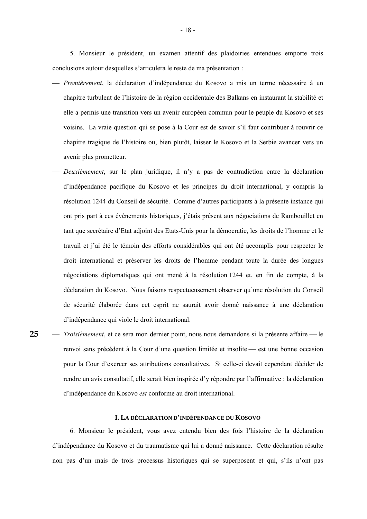5. Monsieur le président, un examen attentif des plaidoiries entendues emporte trois conclusions autour desquelles s'articulera le reste de ma présentation :

- ⎯ *Premièrement*, la déclaration d'indépendance du Kosovo a mis un terme nécessaire à un chapitre turbulent de l'histoire de la région occidentale des Balkans en instaurant la stabilité et elle a permis une transition vers un avenir européen commun pour le peuple du Kosovo et ses voisins. La vraie question qui se pose à la Cour est de savoir s'il faut contribuer à rouvrir ce chapitre tragique de l'histoire ou, bien plutôt, laisser le Kosovo et la Serbie avancer vers un avenir plus prometteur.
- ⎯ *Deuxièmement*, sur le plan juridique, il n'y a pas de contradiction entre la déclaration d'indépendance pacifique du Kosovo et les principes du droit international, y compris la résolution 1244 du Conseil de sécurité. Comme d'autres participants à la présente instance qui ont pris part à ces événements historiques, j'étais présent aux négociations de Rambouillet en tant que secrétaire d'Etat adjoint des Etats-Unis pour la démocratie, les droits de l'homme et le travail et j'ai été le témoin des efforts considérables qui ont été accomplis pour respecter le droit international et préserver les droits de l'homme pendant toute la durée des longues négociations diplomatiques qui ont mené à la résolution 1244 et, en fin de compte, à la déclaration du Kosovo. Nous faisons respectueusement observer qu'une résolution du Conseil de sécurité élaborée dans cet esprit ne saurait avoir donné naissance à une déclaration d'indépendance qui viole le droit international.
- *Troisièmement*, et ce sera mon dernier point, nous nous demandons si la présente affaire le renvoi sans précédent à la Cour d'une question limitée et insolite — est une bonne occasion pour la Cour d'exercer ses attributions consultatives. Si celle-ci devait cependant décider de rendre un avis consultatif, elle serait bien inspirée d'y répondre par l'affirmative : la déclaration d'indépendance du Kosovo *est* conforme au droit international. **25**

#### **I. LA DÉCLARATION D'INDÉPENDANCE DU KOSOVO**

 6. Monsieur le président, vous avez entendu bien des fois l'histoire de la déclaration d'indépendance du Kosovo et du traumatisme qui lui a donné naissance. Cette déclaration résulte non pas d'un mais de trois processus historiques qui se superposent et qui, s'ils n'ont pas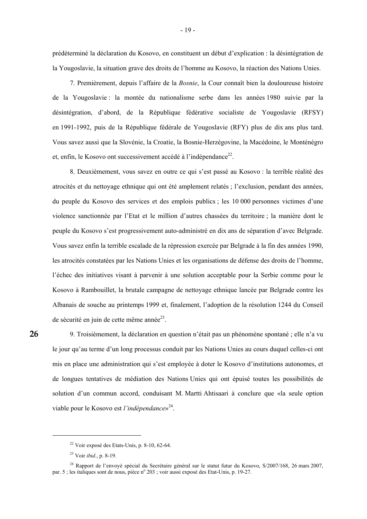prédéterminé la déclaration du Kosovo, en constituent un début d'explication : la désintégration de la Yougoslavie, la situation grave des droits de l'homme au Kosovo, la réaction des Nations Unies.

 7. Premièrement, depuis l'affaire de la *Bosnie*, la Cour connaît bien la douloureuse histoire de la Yougoslavie : la montée du nationalisme serbe dans les années 1980 suivie par la désintégration, d'abord, de la République fédérative socialiste de Yougoslavie (RFSY) en 1991-1992, puis de la République fédérale de Yougoslavie (RFY) plus de dix ans plus tard. Vous savez aussi que la Slovénie, la Croatie, la Bosnie-Herzégovine, la Macédoine, le Monténégro et, enfin, le Kosovo ont successivement accédé à l'indépendance<sup>22</sup>.

 8. Deuxièmement, vous savez en outre ce qui s'est passé au Kosovo : la terrible réalité des atrocités et du nettoyage ethnique qui ont été amplement relatés ; l'exclusion, pendant des années, du peuple du Kosovo des services et des emplois publics ; les 10 000 personnes victimes d'une violence sanctionnée par l'Etat et le million d'autres chassées du territoire ; la manière dont le peuple du Kosovo s'est progressivement auto-administré en dix ans de séparation d'avec Belgrade. Vous savez enfin la terrible escalade de la répression exercée par Belgrade à la fin des années 1990, les atrocités constatées par les Nations Unies et les organisations de défense des droits de l'homme, l'échec des initiatives visant à parvenir à une solution acceptable pour la Serbie comme pour le Kosovo à Rambouillet, la brutale campagne de nettoyage ethnique lancée par Belgrade contre les Albanais de souche au printemps 1999 et, finalement, l'adoption de la résolution 1244 du Conseil de sécurité en juin de cette même année<sup>23</sup>.

**26** 

-

 9. Troisièmement, la déclaration en question n'était pas un phénomène spontané ; elle n'a vu le jour qu'au terme d'un long processus conduit par les Nations Unies au cours duquel celles-ci ont mis en place une administration qui s'est employée à doter le Kosovo d'institutions autonomes, et de longues tentatives de médiation des Nations Unies qui ont épuisé toutes les possibilités de solution d'un commun accord, conduisant M. Martti Ahtisaari à conclure que «la seule option viable pour le Kosovo est *l'indépendance*»24.

<sup>22</sup> Voir exposé des Etats-Unis, p. 8-10, 62-64.

<sup>23</sup> Voir *ibid.*, p. 8-19.

<sup>&</sup>lt;sup>24</sup> Rapport de l'envoyé spécial du Secrétaire général sur le statut futur du Kosovo, S/2007/168, 26 mars 2007, par. 5 ; les italiques sont de nous, pièce n° 203 ; voir aussi exposé des Etat-Unis, p. 19-27.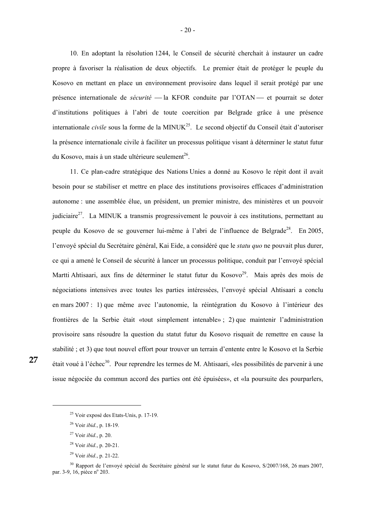10. En adoptant la résolution 1244, le Conseil de sécurité cherchait à instaurer un cadre propre à favoriser la réalisation de deux objectifs. Le premier était de protéger le peuple du Kosovo en mettant en place un environnement provisoire dans lequel il serait protégé par une présence internationale de *sécurité* — la KFOR conduite par l'OTAN — et pourrait se doter d'institutions politiques à l'abri de toute coercition par Belgrade grâce à une présence internationale *civile* sous la forme de la MINUK<sup>25</sup>. Le second objectif du Conseil était d'autoriser la présence internationale civile à faciliter un processus politique visant à déterminer le statut futur du Kosovo, mais à un stade ultérieure seulement<sup>26</sup>.

 11. Ce plan-cadre stratégique des Nations Unies a donné au Kosovo le répit dont il avait besoin pour se stabiliser et mettre en place des institutions provisoires efficaces d'administration autonome : une assemblée élue, un président, un premier ministre, des ministères et un pouvoir judiciaire<sup>27</sup>. La MINUK a transmis progressivement le pouvoir à ces institutions, permettant au peuple du Kosovo de se gouverner lui-même à l'abri de l'influence de Belgrade<sup>28</sup>. En 2005, l'envoyé spécial du Secrétaire général, Kai Eide, a considéré que le *statu quo* ne pouvait plus durer, ce qui a amené le Conseil de sécurité à lancer un processus politique, conduit par l'envoyé spécial Martti Ahtisaari, aux fins de déterminer le statut futur du Kosovo<sup>29</sup>. Mais après des mois de négociations intensives avec toutes les parties intéressées, l'envoyé spécial Ahtisaari a conclu en mars 2007 : 1) que même avec l'autonomie, la réintégration du Kosovo à l'intérieur des frontières de la Serbie était «tout simplement intenable» ; 2) que maintenir l'administration provisoire sans résoudre la question du statut futur du Kosovo risquait de remettre en cause la stabilité ; et 3) que tout nouvel effort pour trouver un terrain d'entente entre le Kosovo et la Serbie était voué à l'échec<sup>30</sup>. Pour reprendre les termes de M. Ahtisaari, «les possibilités de parvenir à une issue négociée du commun accord des parties ont été épuisées», et «la poursuite des pourparlers,

<sup>25</sup> Voir exposé des Etats-Unis, p. 17-19.

<sup>26</sup> Voir *ibid.*, p. 18-19.

<sup>27</sup> Voir *ibid.*, p. 20.

<sup>28</sup> Voir *ibid.*, p. 20-21.

<sup>29</sup> Voir *ibid.*, p. 21-22.

<sup>&</sup>lt;sup>30</sup> Rapport de l'envoyé spécial du Secrétaire général sur le statut futur du Kosovo, S/2007/168, 26 mars 2007, par. 3-9, 16, pièce n<sup>o</sup> 203.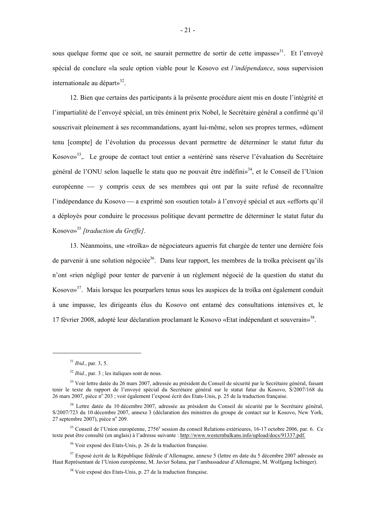sous quelque forme que ce soit, ne saurait permettre de sortir de cette impasse»<sup>31</sup>. Et l'envoyé spécial de conclure «la seule option viable pour le Kosovo est *l'indépendance*, sous supervision internationale au départ $\frac{32}{2}$ .

 12. Bien que certains des participants à la présente procédure aient mis en doute l'intégrité et l'impartialité de l'envoyé spécial, un très éminent prix Nobel, le Secrétaire général a confirmé qu'il souscrivait pleinement à ses recommandations, ayant lui-même, selon ses propres termes, «dûment tenu [compte] de l'évolution du processus devant permettre de déterminer le statut futur du Kosovo»<sup>33</sup>.. Le groupe de contact tout entier a «entériné sans réserve l'évaluation du Secrétaire général de l'ONU selon laquelle le statu quo ne pouvait être indéfini»<sup>34</sup>, et le Conseil de l'Union européenne — y compris ceux de ses membres qui ont par la suite refusé de reconnaître l'indépendance du Kosovo — a exprimé son «soutien total» à l'envové spécial et aux «efforts qu'il a déployés pour conduire le processus politique devant permettre de déterminer le statut futur du Kosovo»35 *[traduction du Greffe]*.

 13. Néanmoins, une «troïka» de négociateurs aguerris fut chargée de tenter une dernière fois de parvenir à une solution négociée<sup>36</sup>. Dans leur rapport, les membres de la troïka précisent qu'ils n'ont «rien négligé pour tenter de parvenir à un règlement négocié de la question du statut du Kosovo»<sup>37</sup>. Mais lorsque les pourparlers tenus sous les auspices de la troïka ont également conduit à une impasse, les dirigeants élus du Kosovo ont entamé des consultations intensives et, le 17 février 2008, adopté leur déclaration proclamant le Kosovo «Etat indépendant et souverain»<sup>38</sup>.

-

<sup>31</sup> *Ibid.*, par. 3, 5.

<sup>32</sup> *Ibid.*, par. 3 ; les italiques sont de nous.

<sup>&</sup>lt;sup>33</sup> Voir lettre datée du 26 mars 2007, adressée au président du Conseil de sécurité par le Secrétaire général, faisant tenir le texte du rapport de l'envoyé spécial du Secrétaire général sur le statut futur du Kosovo, S/2007/168 du 26 mars 2007, pièce n<sup>ô</sup> 203 ; voir également l'exposé écrit des Etats-Unis, p. 25 de la traduction française.

<sup>&</sup>lt;sup>34</sup> Lettre datée du 10 décembre 2007, adressée au président du Conseil de sécurité par le Secrétaire général, S/2007/723 du 10 décembre 2007, annexe 3 (déclaration des ministres du groupe de contact sur le Kosovo, New York,  $27$  septembre 2007), pièce n° 209.

 $35$  Conseil de l'Union européenne, 2756<sup>e</sup> session du conseil Relations extérieures, 16-17 octobre 2006, par. 6. Ce texte peut être consulté (en anglais) à l'adresse suivante : http://www.westernbalkans.info/upload/docs/91337.pdf.

<sup>36</sup> Voir exposé des Etats-Unis, p. 26 de la traduction française.

<sup>&</sup>lt;sup>37</sup> Exposé écrit de la République fédérale d'Allemagne, annexe 5 (lettre en date du 5 décembre 2007 adressée au Haut Représentant de l'Union européenne, M. Javier Solana, par l'ambassadeur d'Allemagne, M. Wolfgang Ischinger).

<sup>38</sup> Voir exposé des Etats-Unis, p. 27 de la traduction française.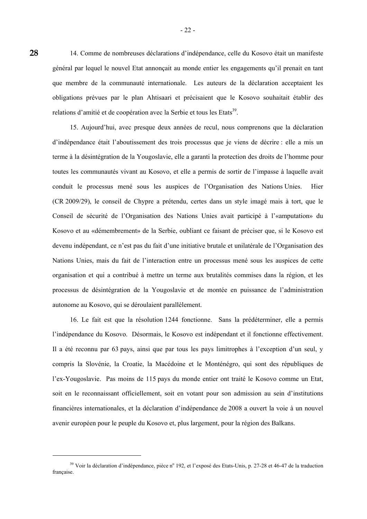14. Comme de nombreuses déclarations d'indépendance, celle du Kosovo était un manifeste général par lequel le nouvel Etat annonçait au monde entier les engagements qu'il prenait en tant que membre de la communauté internationale. Les auteurs de la déclaration acceptaient les obligations prévues par le plan Ahtisaari et précisaient que le Kosovo souhaitait établir des relations d'amitié et de coopération avec la Serbie et tous les Etats<sup>39</sup>.

 15. Aujourd'hui, avec presque deux années de recul, nous comprenons que la déclaration d'indépendance était l'aboutissement des trois processus que je viens de décrire : elle a mis un terme à la désintégration de la Yougoslavie, elle a garanti la protection des droits de l'homme pour toutes les communautés vivant au Kosovo, et elle a permis de sortir de l'impasse à laquelle avait conduit le processus mené sous les auspices de l'Organisation des Nations Unies. Hier (CR 2009/29), le conseil de Chypre a prétendu, certes dans un style imagé mais à tort, que le Conseil de sécurité de l'Organisation des Nations Unies avait participé à l'«amputation» du Kosovo et au «démembrement» de la Serbie, oubliant ce faisant de préciser que, si le Kosovo est devenu indépendant, ce n'est pas du fait d'une initiative brutale et unilatérale de l'Organisation des Nations Unies, mais du fait de l'interaction entre un processus mené sous les auspices de cette organisation et qui a contribué à mettre un terme aux brutalités commises dans la région, et les processus de désintégration de la Yougoslavie et de montée en puissance de l'administration autonome au Kosovo, qui se déroulaient parallèlement.

 16. Le fait est que la résolution 1244 fonctionne. Sans la prédéterminer, elle a permis l'indépendance du Kosovo. Désormais, le Kosovo est indépendant et il fonctionne effectivement. Il a été reconnu par 63 pays, ainsi que par tous les pays limitrophes à l'exception d'un seul, y compris la Slovénie, la Croatie, la Macédoine et le Monténégro, qui sont des républiques de l'ex-Yougoslavie. Pas moins de 115 pays du monde entier ont traité le Kosovo comme un Etat, soit en le reconnaissant officiellement, soit en votant pour son admission au sein d'institutions financières internationales, et la déclaration d'indépendance de 2008 a ouvert la voie à un nouvel avenir européen pour le peuple du Kosovo et, plus largement, pour la région des Balkans.

1

<sup>&</sup>lt;sup>39</sup> Voir la déclaration d'indépendance, pièce n° 192, et l'exposé des Etats-Unis, p. 27-28 et 46-47 de la traduction française.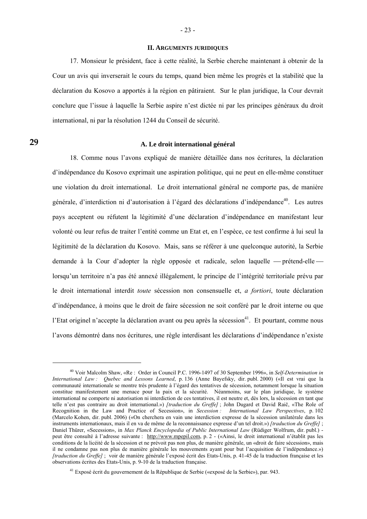#### **II. ARGUMENTS JURIDIQUES**

 17. Monsieur le président, face à cette réalité, la Serbie cherche maintenant à obtenir de la Cour un avis qui inverserait le cours du temps, quand bien même les progrès et la stabilité que la déclaration du Kosovo a apportés à la région en pâtiraient. Sur le plan juridique, la Cour devrait conclure que l'issue à laquelle la Serbie aspire n'est dictée ni par les principes généraux du droit international, ni par la résolution 1244 du Conseil de sécurité.

**29** 

1

#### **A. Le droit international général**

 18. Comme nous l'avons expliqué de manière détaillée dans nos écritures, la déclaration d'indépendance du Kosovo exprimait une aspiration politique, qui ne peut en elle-même constituer une violation du droit international. Le droit international général ne comporte pas, de manière générale, d'interdiction ni d'autorisation à l'égard des déclarations d'indépendance<sup>40</sup>. Les autres pays acceptent ou réfutent la légitimité d'une déclaration d'indépendance en manifestant leur volonté ou leur refus de traiter l'entité comme un Etat et, en l'espèce, ce test confirme à lui seul la légitimité de la déclaration du Kosovo. Mais, sans se référer à une quelconque autorité, la Serbie demande à la Cour d'adopter la règle opposée et radicale, selon laquelle — prétend-elle lorsqu'un territoire n'a pas été annexé illégalement, le principe de l'intégrité territoriale prévu par le droit international interdit *toute* sécession non consensuelle et, *a fortiori*, toute déclaration d'indépendance, à moins que le droit de faire sécession ne soit conféré par le droit interne ou que l'Etat originel n'accepte la déclaration avant ou peu après la sécession<sup>41</sup>. Et pourtant, comme nous l'avons démontré dans nos écritures, une règle interdisant les déclarations d'indépendance n'existe

<sup>40</sup> Voir Malcolm Shaw, «Re : Order in Council P.C. 1996-1497 of 30 September 1996», in *Self-Determination in International Law : Quebec and Lessons Learned*, p. 136 (Anne Bayefsky, dir. publ. 2000) («Il est vrai que la communauté internationale se montre très prudente à l'égard des tentatives de sécession, notamment lorsque la situation constitue manifestement une menace pour la paix et la sécurité. Néanmoins, sur le plan juridique, le système international ne comporte ni autorisation ni interdiction de ces tentatives, il est neutre et, dès lors, la sécession en tant que telle n'est pas contraire au droit international.») *[traduction du Greffe]* ; John Dugard et David Raič, «The Role of Recognition in the Law and Practice of Secession», in *Secession : International Law Perspectives*, p. 102 (Marcelo Kohen, dir. publ. 2006) («On cherchera en vain une interdiction expresse de la sécession unilatérale dans les instruments internationaux, mais il en va de même de la reconnaissance expresse d'un tel droit.») *[traduction du Greffe]* ; Daniel Thürer, «Secession», in *Max Planck Encyclopedia of Public International Law* (Rüdiger Wolfrum, dir. publ.) peut être consulté à l'adresse suivante : http://www.mpepil.com, p. 2 - («Ainsi, le droit international n'établit pas les conditions de la licéité de la sécession et ne prévoit pas non plus, de manière générale, un «droit de faire sécession», mais il ne condamne pas non plus de manière générale les mouvements ayant pour but l'acquisition de l'indépendance.») *[traduction du Greffe]* ; voir de manière générale l'exposé écrit des Etats-Unis, p. 41-45 de la traduction française et les observations écrites des Etats-Unis, p. 9-10 de la traduction française.

<sup>&</sup>lt;sup>41</sup> Exposé écrit du gouvernement de la République de Serbie («exposé de la Serbie»), par. 943.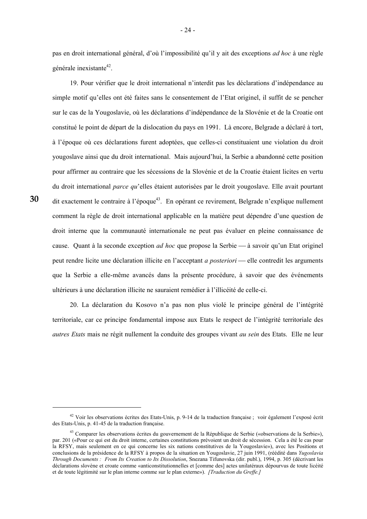pas en droit international général, d'où l'impossibilité qu'il y ait des exceptions *ad hoc* à une règle générale inexistante<sup>42</sup>.

 19. Pour vérifier que le droit international n'interdit pas les déclarations d'indépendance au simple motif qu'elles ont été faites sans le consentement de l'Etat originel, il suffit de se pencher sur le cas de la Yougoslavie, où les déclarations d'indépendance de la Slovénie et de la Croatie ont constitué le point de départ de la dislocation du pays en 1991. Là encore, Belgrade a déclaré à tort, à l'époque où ces déclarations furent adoptées, que celles-ci constituaient une violation du droit yougoslave ainsi que du droit international. Mais aujourd'hui, la Serbie a abandonné cette position pour affirmer au contraire que les sécessions de la Slovénie et de la Croatie étaient licites en vertu du droit international *parce qu*'elles étaient autorisées par le droit yougoslave. Elle avait pourtant dit exactement le contraire à l'époque<sup>43</sup>. En opérant ce revirement, Belgrade n'explique nullement comment la règle de droit international applicable en la matière peut dépendre d'une question de droit interne que la communauté internationale ne peut pas évaluer en pleine connaissance de cause. Quant à la seconde exception *ad hoc* que propose la Serbie — à savoir qu'un Etat originel peut rendre licite une déclaration illicite en l'acceptant *a posteriori* — elle contredit les arguments que la Serbie a elle-même avancés dans la présente procédure, à savoir que des événements ultérieurs à une déclaration illicite ne sauraient remédier à l'illicéité de celle-ci.

 20. La déclaration du Kosovo n'a pas non plus violé le principe général de l'intégrité territoriale, car ce principe fondamental impose aux Etats le respect de l'intégrité territoriale des *autres Etats* mais ne régit nullement la conduite des groupes vivant *au sein* des Etats. Elle ne leur

**30** 

-

<sup>&</sup>lt;sup>42</sup> Voir les observations écrites des Etats-Unis, p. 9-14 de la traduction française ; voir également l'exposé écrit des Etats-Unis, p. 41-45 de la traduction française.

<sup>&</sup>lt;sup>43</sup> Comparer les observations écrites du gouvernement de la République de Serbie («observations de la Serbie»), par. 201 («Pour ce qui est du droit interne, certaines constitutions prévoient un droit de sécession. Cela a été le cas pour la RFSY, mais seulement en ce qui concerne les six nations constitutives de la Yougoslavie»), avec les Positions et conclusions de la présidence de la RFSY à propos de la situation en Yougoslavie, 27 juin 1991, (réédité dans *Yugoslavia Through Documents : From Its Creation to Its Dissolution*, Snezana Tifunovska (dir. publ.), 1994, p. 305 (décrivant les déclarations slovène et croate comme «anticonstitutionnelles et [comme des] actes unilatéraux dépourvus de toute licéité et de toute légitimité sur le plan interne comme sur le plan externe»). *[Traduction du Greffe.]*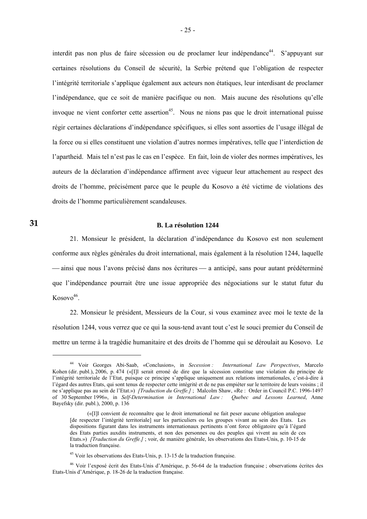interdit pas non plus de faire sécession ou de proclamer leur indépendance<sup>44</sup>. S'appuyant sur certaines résolutions du Conseil de sécurité, la Serbie prétend que l'obligation de respecter l'intégrité territoriale s'applique également aux acteurs non étatiques, leur interdisant de proclamer l'indépendance, que ce soit de manière pacifique ou non. Mais aucune des résolutions qu'elle invoque ne vient conforter cette assertion<sup>45</sup>. Nous ne nions pas que le droit international puisse régir certaines déclarations d'indépendance spécifiques, si elles sont assorties de l'usage illégal de la force ou si elles constituent une violation d'autres normes impératives, telle que l'interdiction de l'apartheid. Mais tel n'est pas le cas en l'espèce. En fait, loin de violer des normes impératives, les auteurs de la déclaration d'indépendance affirment avec vigueur leur attachement au respect des droits de l'homme, précisément parce que le peuple du Kosovo a été victime de violations des droits de l'homme particulièrement scandaleuses.

**31** 

1

#### **B. La résolution 1244**

 21. Monsieur le président, la déclaration d'indépendance du Kosovo est non seulement conforme aux règles générales du droit international, mais également à la résolution 1244, laquelle — ainsi que nous l'avons précisé dans nos écritures — a anticipé, sans pour autant prédéterminé que l'indépendance pourrait être une issue appropriée des négociations sur le statut futur du  $Kosovo<sup>46</sup>$ .

 22. Monsieur le président, Messieurs de la Cour, si vous examinez avec moi le texte de la résolution 1244, vous verrez que ce qui la sous-tend avant tout c'est le souci premier du Conseil de mettre un terme à la tragédie humanitaire et des droits de l'homme qui se déroulait au Kosovo. Le

<sup>44</sup> Voir Georges Abi-Saab, «Conclusion», in *Secession : International Law Perspectives*, Marcelo Kohen (dir. publ.), 2006, p. 474 («[I]l serait erroné de dire que la sécession constitue une violation du principe de l'intégrité territoriale de l'Etat, puisque ce principe s'applique uniquement aux relations internationales, c'est-à-dire à l'égard des autres Etats, qui sont tenus de respecter cette intégrité et de ne pas empiéter sur le territoire de leurs voisins ; il ne s'applique pas au sein de l'Etat.») *[Traduction du Greffe.]* ; Malcolm Shaw, «Re : Order in Council P.C. 1996-1497 of 30 September 1996», in *Self-Determination in International Law : Quebec and Lessons Learned*, Anne Bayefsky (dir. publ.), 2000, p. 136

 <sup>(«[</sup>I]l convient de reconnaître que le droit international ne fait peser aucune obligation analogue [de respecter l'intégrité territoriale] sur les particuliers ou les groupes vivant au sein des Etats. Les dispositions figurant dans les instruments internationaux pertinents n'ont force obligatoire qu'à l'égard des Etats parties auxdits instruments, et non des personnes ou des peuples qui vivent au sein de ces Etats.») *[Traduction du Greffe.]* ; voir, de manière générale, les observations des Etats-Unis, p. 10-15 de la traduction française.

<sup>45</sup> Voir les observations des Etats-Unis, p. 13-15 de la traduction française.

<sup>46</sup> Voir l'exposé écrit des Etats-Unis d'Amérique, p. 56-64 de la traduction française ; observations écrites des Etats-Unis d'Amérique, p. 18-26 de la traduction française.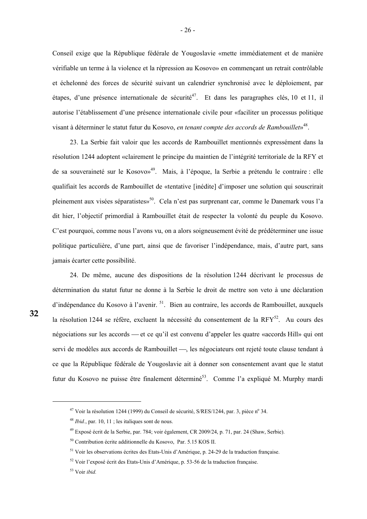Conseil exige que la République fédérale de Yougoslavie «mette immédiatement et de manière vérifiable un terme à la violence et la répression au Kosovo» en commençant un retrait contrôlable et échelonné des forces de sécurité suivant un calendrier synchronisé avec le déploiement, par étapes, d'une présence internationale de sécurité<sup>47</sup>. Et dans les paragraphes clés, 10 et 11, il autorise l'établissement d'une présence internationale civile pour «faciliter un processus politique visant à déterminer le statut futur du Kosovo, *en tenant compte des accords de Rambouillet*»48.

 23. La Serbie fait valoir que les accords de Rambouillet mentionnés expressément dans la résolution 1244 adoptent «clairement le principe du maintien de l'intégrité territoriale de la RFY et de sa souveraineté sur le Kosovo»<sup>49</sup>. Mais, à l'époque, la Serbie a prétendu le contraire : elle qualifiait les accords de Rambouillet de «tentative [inédite] d'imposer une solution qui souscrirait pleinement aux visées séparatistes»<sup>50</sup>. Cela n'est pas surprenant car, comme le Danemark vous l'a dit hier, l'objectif primordial à Rambouillet était de respecter la volonté du peuple du Kosovo. C'est pourquoi, comme nous l'avons vu, on a alors soigneusement évité de prédéterminer une issue politique particulière, d'une part, ainsi que de favoriser l'indépendance, mais, d'autre part, sans jamais écarter cette possibilité.

 24. De même, aucune des dispositions de la résolution 1244 décrivant le processus de détermination du statut futur ne donne à la Serbie le droit de mettre son veto à une déclaration d'indépendance du Kosovo à l'avenir.<sup>51</sup>. Bien au contraire, les accords de Rambouillet, auxquels la résolution 1244 se réfère, excluent la nécessité du consentement de la  $RFY^{52}$ . Au cours des négociations sur les accords — et ce qu'il est convenu d'appeler les quatre «accords Hill» qui ont servi de modèles aux accords de Rambouillet —, les négociateurs ont rejeté toute clause tendant à ce que la République fédérale de Yougoslavie ait à donner son consentement avant que le statut futur du Kosovo ne puisse être finalement déterminé<sup>53</sup>. Comme l'a expliqué M. Murphy mardi

<sup>&</sup>lt;sup>47</sup> Voir la résolution 1244 (1999) du Conseil de sécurité, S/RES/1244, par. 3, pièce n<sup>o</sup> 34.

<sup>48</sup> *Ibid.*, par. 10, 11 ; les italiques sont de nous.

<sup>49</sup> Exposé écrit de la Serbie, par. 784; voir également, CR 2009/24, p. 71, par. 24 (Shaw, Serbie).

<sup>50</sup> Contribution écrite additionnelle du Kosovo, Par. 5.15 KOS II.

<sup>51</sup> Voir les observations écrites des Etats-Unis d'Amérique, p. 24-29 de la traduction française.

<sup>52</sup> Voir l'exposé écrit des Etats-Unis d'Amérique, p. 53-56 de la traduction française.

<sup>53</sup> Voir *ibid.*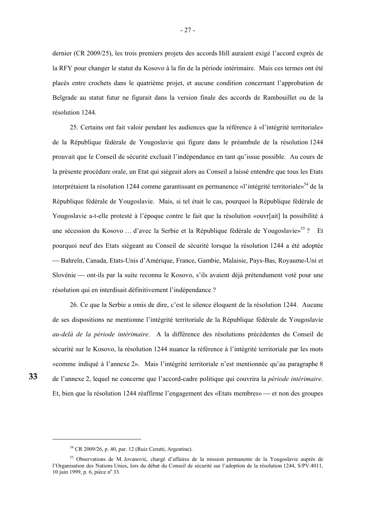dernier (CR 2009/25), les trois premiers projets des accords Hill auraient exigé l'accord exprès de la RFY pour changer le statut du Kosovo à la fin de la période intérimaire. Mais ces termes ont été placés entre crochets dans le quatrième projet, et aucune condition concernant l'approbation de Belgrade au statut futur ne figurait dans la version finale des accords de Rambouillet ou de la résolution 1244.

 25. Certains ont fait valoir pendant les audiences que la référence à «l'intégrité territoriale» de la République fédérale de Yougoslavie qui figure dans le préambule de la résolution 1244 prouvait que le Conseil de sécurité excluait l'indépendance en tant qu'issue possible. Au cours de la présente procédure orale, un Etat qui siégeait alors au Conseil a laissé entendre que tous les Etats interprétaient la résolution 1244 comme garantissant en permanence «l'intégrité territoriale»<sup>54</sup> de la République fédérale de Yougoslavie. Mais, si tel était le cas, pourquoi la République fédérale de Yougoslavie a-t-elle protesté à l'époque contre le fait que la résolution «ouvr[ait] la possibilité à une sécession du Kosovo ... d'avec la Serbie et la République fédérale de Yougoslavie»<sup>55</sup> ? Et pourquoi neuf des Etats siégeant au Conseil de sécurité lorsque la résolution 1244 a été adoptée ⎯ Bahreïn, Canada, Etats-Unis d'Amérique, France, Gambie, Malaisie, Pays-Bas, Royaume-Uni et Slovénie — ont-ils par la suite reconnu le Kosovo, s'ils avaient déjà prétendument voté pour une résolution qui en interdisait définitivement l'indépendance ?

 26. Ce que la Serbie a omis de dire, c'est le silence éloquent de la résolution 1244. Aucune de ses dispositions ne mentionne l'intégrité territoriale de la République fédérale de Yougoslavie *au-delà de la période intérimaire*. A la différence des résolutions précédentes du Conseil de sécurité sur le Kosovo, la résolution 1244 nuance la référence à l'intégrité territoriale par les mots «comme indiqué à l'annexe 2». Mais l'intégrité territoriale n'est mentionnée qu'au paragraphe 8 de l'annexe 2, lequel ne concerne que l'accord-cadre politique qui couvrira la *période intérimaire*. Et, bien que la résolution 1244 réaffirme l'engagement des «Etats membres» — et non des groupes

**33** 

-

<sup>54</sup> CR 2009/26, p. 40, par. 12 (Ruiz Cerutti, Argentine).

<sup>55</sup> Observations de M. Jovanović, chargé d'affaires de la mission permanente de la Yougoslavie auprès de l'Organisation des Nations Unies, lors du débat du Conseil de sécurité sur l'adoption de la résolution 1244, S/PV.4011, 10 juin 1999, p. 6, pièce n° 33.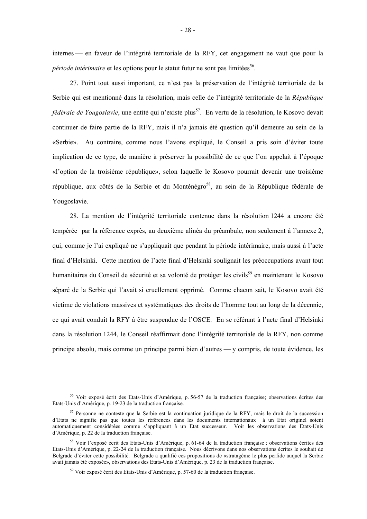internes — en faveur de l'intégrité territoriale de la RFY, cet engagement ne vaut que pour la *période intérimaire* et les options pour le statut futur ne sont pas limitées<sup>56</sup>.

 27. Point tout aussi important, ce n'est pas la préservation de l'intégrité territoriale de la Serbie qui est mentionné dans la résolution, mais celle de l'intégrité territoriale de la *République fédérale de Yougoslavie*, une entité qui n'existe plus<sup>57</sup>. En vertu de la résolution, le Kosovo devait continuer de faire partie de la RFY, mais il n'a jamais été question qu'il demeure au sein de la «Serbie». Au contraire, comme nous l'avons expliqué, le Conseil a pris soin d'éviter toute implication de ce type, de manière à préserver la possibilité de ce que l'on appelait à l'époque «l'option de la troisième république», selon laquelle le Kosovo pourrait devenir une troisième république, aux côtés de la Serbie et du Monténégro<sup>58</sup>, au sein de la République fédérale de Yougoslavie.

 28. La mention de l'intégrité territoriale contenue dans la résolution 1244 a encore été tempérée par la référence exprès, au deuxième alinéa du préambule, non seulement à l'annexe 2, qui, comme je l'ai expliqué ne s'appliquait que pendant la période intérimaire, mais aussi à l'acte final d'Helsinki. Cette mention de l'acte final d'Helsinki soulignait les préoccupations avant tout humanitaires du Conseil de sécurité et sa volonté de protéger les civils<sup>59</sup> en maintenant le Kosovo séparé de la Serbie qui l'avait si cruellement opprimé. Comme chacun sait, le Kosovo avait été victime de violations massives et systématiques des droits de l'homme tout au long de la décennie, ce qui avait conduit la RFY à être suspendue de l'OSCE. En se référant à l'acte final d'Helsinki dans la résolution 1244, le Conseil réaffirmait donc l'intégrité territoriale de la RFY, non comme principe absolu, mais comme un principe parmi bien d'autres — y compris, de toute évidence, les

<sup>56</sup> Voir exposé écrit des Etats-Unis d'Amérique, p. 56-57 de la traduction française; observations écrites des Etats-Unis d'Amérique, p. 19-23 de la traduction française.

<sup>&</sup>lt;sup>57</sup> Personne ne conteste que la Serbie est la continuation juridique de la RFY, mais le droit de la succession d'Etats ne signifie pas que toutes les références dans les documents internationaux à un Etat originel soient automatiquement considérées comme s'appliquant à un Etat successeur. Voir les observations des Etats-Unis d'Amérique, p. 22 de la traduction française.

<sup>58</sup> Voir l'exposé écrit des Etats-Unis d'Amérique, p. 61-64 de la traduction française ; observations écrites des Etats-Unis d'Amérique, p. 22-24 de la traduction française. Nous décrivons dans nos observations écrites le souhait de Belgrade d'éviter cette possibilité. Belgrade a qualifié ces propositions de «stratagème le plus perfide auquel la Serbie avait jamais été exposée», observations des Etats-Unis d'Amérique, p. 23 de la traduction française.

<sup>59</sup> Voir exposé écrit des Etats-Unis d'Amérique, p. 57-60 de la traduction française.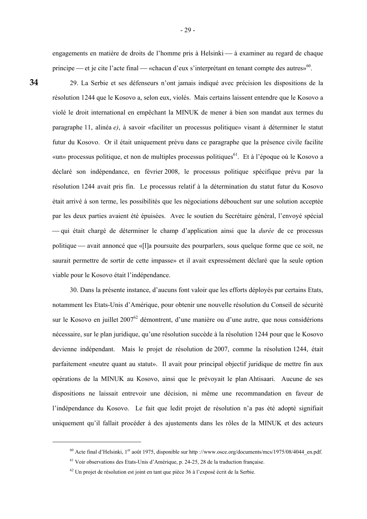engagements en matière de droits de l'homme pris à Helsinki — à examiner au regard de chaque principe — et je cite l'acte final — «chacun d'eux s'interprétant en tenant compte des autres»<sup>60</sup>.

**34** 

1

 29. La Serbie et ses défenseurs n'ont jamais indiqué avec précision les dispositions de la résolution 1244 que le Kosovo a, selon eux, violés. Mais certains laissent entendre que le Kosovo a violé le droit international en empêchant la MINUK de mener à bien son mandat aux termes du paragraphe 11, alinéa *e)*, à savoir «faciliter un processus politique» visant à déterminer le statut futur du Kosovo. Or il était uniquement prévu dans ce paragraphe que la présence civile facilite «un» processus politique, et non de multiples processus politiques<sup>61</sup>. Et à l'époque où le Kosovo a déclaré son indépendance, en février 2008, le processus politique spécifique prévu par la résolution 1244 avait pris fin. Le processus relatif à la détermination du statut futur du Kosovo était arrivé à son terme, les possibilités que les négociations débouchent sur une solution acceptée par les deux parties avaient été épuisées. Avec le soutien du Secrétaire général, l'envoyé spécial ⎯ qui était chargé de déterminer le champ d'application ainsi que la *durée* de ce processus politique — avait annoncé que «[l]a poursuite des pourparlers, sous quelque forme que ce soit, ne saurait permettre de sortir de cette impasse» et il avait expressément déclaré que la seule option viable pour le Kosovo était l'indépendance.

 30. Dans la présente instance, d'aucuns font valoir que les efforts déployés par certains Etats, notamment les Etats-Unis d'Amérique, pour obtenir une nouvelle résolution du Conseil de sécurité sur le Kosovo en juillet 2007<sup>62</sup> démontrent, d'une manière ou d'une autre, que nous considérions nécessaire, sur le plan juridique, qu'une résolution succède à la résolution 1244 pour que le Kosovo devienne indépendant. Mais le projet de résolution de 2007, comme la résolution 1244, était parfaitement «neutre quant au statut». Il avait pour principal objectif juridique de mettre fin aux opérations de la MINUK au Kosovo, ainsi que le prévoyait le plan Ahtisaari. Aucune de ses dispositions ne laissait entrevoir une décision, ni même une recommandation en faveur de l'indépendance du Kosovo. Le fait que ledit projet de résolution n'a pas été adopté signifiait uniquement qu'il fallait procéder à des ajustements dans les rôles de la MINUK et des acteurs

<sup>&</sup>lt;sup>60</sup> Acte final d'Helsinki, 1<sup>er</sup> août 1975, disponible sur http://www.osce.org/documents/mcs/1975/08/4044 en.pdf.

<sup>61</sup> Voir observations des Etats-Unis d'Amérique, p. 24-25, 28 de la traduction française.

 $62$  Un projet de résolution est joint en tant que pièce 36 à l'exposé écrit de la Serbie.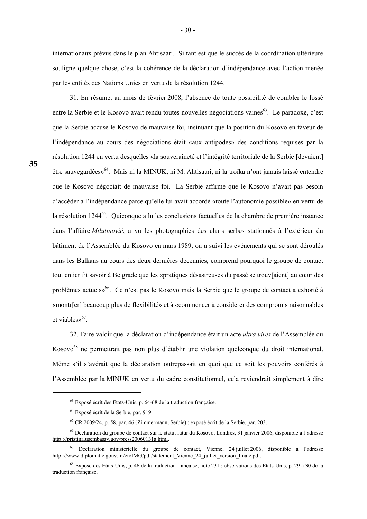internationaux prévus dans le plan Ahtisaari. Si tant est que le succès de la coordination ultérieure souligne quelque chose, c'est la cohérence de la déclaration d'indépendance avec l'action menée par les entités des Nations Unies en vertu de la résolution 1244.

 31. En résumé, au mois de février 2008, l'absence de toute possibilité de combler le fossé entre la Serbie et le Kosovo avait rendu toutes nouvelles négociations vaines<sup>63</sup>. Le paradoxe, c'est que la Serbie accuse le Kosovo de mauvaise foi, insinuant que la position du Kosovo en faveur de l'indépendance au cours des négociations était «aux antipodes» des conditions requises par la résolution 1244 en vertu desquelles «la souveraineté et l'intégrité territoriale de la Serbie [devaient] être sauvegardées»<sup>64</sup>. Mais ni la MINUK, ni M. Ahtisaari, ni la troïka n'ont jamais laissé entendre que le Kosovo négociait de mauvaise foi. La Serbie affirme que le Kosovo n'avait pas besoin d'accéder à l'indépendance parce qu'elle lui avait accordé «toute l'autonomie possible» en vertu de la résolution 1244<sup>65</sup>. Quiconque a lu les conclusions factuelles de la chambre de première instance dans l'affaire *Milutinović*, a vu les photographies des chars serbes stationnés à l'extérieur du bâtiment de l'Assemblée du Kosovo en mars 1989, ou a suivi les événements qui se sont déroulés dans les Balkans au cours des deux dernières décennies, comprend pourquoi le groupe de contact tout entier fit savoir à Belgrade que les «pratiques désastreuses du passé se trouv[aient] au cœur des problèmes actuels»<sup>66</sup>. Ce n'est pas le Kosovo mais la Serbie que le groupe de contact a exhorté à «montr[er] beaucoup plus de flexibilité» et à «commencer à considérer des compromis raisonnables et viables»<sup>67</sup>.

 32. Faire valoir que la déclaration d'indépendance était un acte *ultra vires* de l'Assemblée du Kosovo<sup>68</sup> ne permettrait pas non plus d'établir une violation quelconque du droit international. Même s'il s'avérait que la déclaration outrepassait en quoi que ce soit les pouvoirs conférés à l'Assemblée par la MINUK en vertu du cadre constitutionnel, cela reviendrait simplement à dire

-

 $<sup>63</sup>$  Exposé écrit des Etats-Unis, p. 64-68 de la traduction française.</sup>

<sup>64</sup> Exposé écrit de la Serbie, par. 919.

<sup>65</sup> CR 2009/24, p. 58, par. 46 (Zimmermann, Serbie) ; exposé écrit de la Serbie, par. 203.

<sup>66</sup> Déclaration du groupe de contact sur le statut futur du Kosovo, Londres, 31 janvier 2006, disponible à l'adresse http ://pristina.usembassy.gov/press20060131a.html.

 $<sup>67</sup>$  Déclaration ministérielle du groupe de contact, Vienne, 24 juillet 2006, disponible à l'adresse</sup> http ://www.diplomatie.gouv.fr /en/IMG/pdf/statement\_Vienne\_24\_juillet\_version\_finale.pdf.

 $^{68}$  Exposé des Etats-Unis, p. 46 de la traduction française, note 231 ; observations des Etats-Unis, p. 29 à 30 de la traduction française.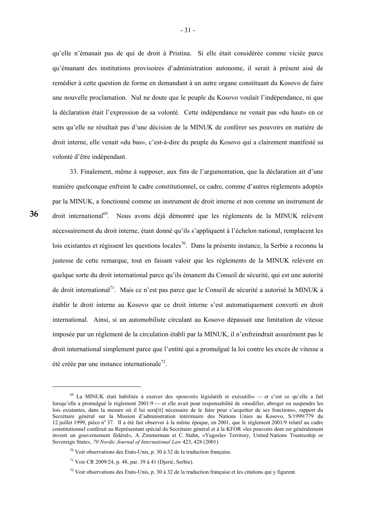qu'elle n'émanait pas de qui de droit à Pristina. Si elle était considérée comme viciée parce qu'émanant des institutions provisoires d'administration autonome, il serait à présent aisé de remédier à cette question de forme en demandant à un autre organe constituant du Kosovo de faire une nouvelle proclamation. Nul ne doute que le peuple du Kosovo voulait l'indépendance, ni que la déclaration était l'expression de sa volonté. Cette indépendance ne venait pas «du haut» en ce sens qu'elle ne résultait pas d'une décision de la MINUK de conférer ses pouvoirs en matière de droit interne, elle venait «du bas», c'est-à-dire du peuple du Kosovo qui a clairement manifesté sa volonté d'être indépendant.

 33. Finalement, même à supposer, aux fins de l'argumentation, que la déclaration ait d'une manière quelconque enfreint le cadre constitutionnel, ce cadre, comme d'autres règlements adoptés par la MINUK, a fonctionné comme un instrument de droit interne et non comme un instrument de droit international<sup>69</sup>. Nous avons déjà démontré que les règlements de la MINUK relèvent nécessairement du droit interne, étant donné qu'ils s'appliquent à l'échelon national, remplacent les lois existantes et régissent les questions locales<sup>70</sup>. Dans la présente instance, la Serbie a reconnu la justesse de cette remarque, tout en faisant valoir que les règlements de la MINUK relèvent en quelque sorte du droit international parce qu'ils émanent du Conseil de sécurité, qui est une autorité de droit international<sup>71</sup>. Mais ce n'est pas parce que le Conseil de sécurité a autorisé la MINUK à établir le droit interne au Kosovo que ce droit interne s'est automatiquement converti en droit international. Ainsi, si un automobiliste circulant au Kosovo dépassait une limitation de vitesse imposée par un règlement de la circulation établi par la MINUK, il n'enfreindrait assurément pas le droit international simplement parce que l'entité qui a promulgué la loi contre les excès de vitesse a été créée par une instance internationale<sup>72</sup>.

-

 $69$  La MINUK était habilitée à exercer des «pouvoirs législatifs et exécutifs» — et c'est ce qu'elle a fait lorsqu'elle a promulgué le règlement 2001/9 — et elle avait pour responsabilité de «modifier, abroger ou suspendre les lois existantes, dans la mesure où il lui sera[it] nécessaire de le faire pour s'acquitter de ses fonctions», rapport du Secrétaire général sur la Mission d'administration intérimaire des Nations Unies au Kosovo, S/1999/779 du 12 juillet 1999, pièce n° 37. Il a été fait observer à la même époque, en 2001, que le règlement 2001/9 relatif au cadre constitutionnel conférait au Représentant spécial du Secrétaire général et à la KFOR «les pouvoirs dont est généralement investi un gouvernement fédéral», A. Zimmerman et C. Stahn, «Yugoslav Territory, United Nations Trusteeship or Sovereign State», *70 Nordic Journal of International Law* 423, 428 (2001)

 $70$  Voir observations des Etats-Unis, p. 30 à 32 de la traduction française.

<sup>71</sup> Voir CR 2009/24, p. 48, par. 39 à 41 (Djerić, Serbie).

 $72$  Voir observations des Etats-Unis, p. 30 à 32 de la traduction française et les citations qui y figurent.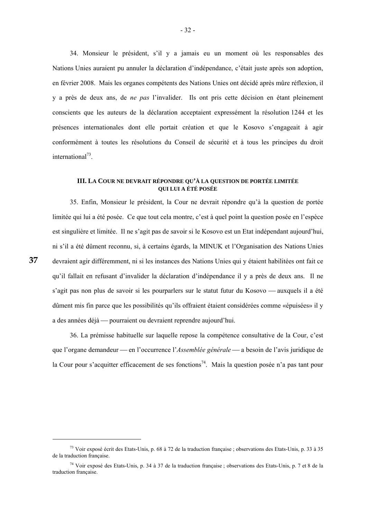34. Monsieur le président, s'il y a jamais eu un moment où les responsables des Nations Unies auraient pu annuler la déclaration d'indépendance, c'était juste après son adoption, en février 2008. Mais les organes compétents des Nations Unies ont décidé après mûre réflexion, il y a près de deux ans, de *ne pas* l'invalider. Ils ont pris cette décision en étant pleinement conscients que les auteurs de la déclaration acceptaient expressément la résolution 1244 et les présences internationales dont elle portait création et que le Kosovo s'engageait à agir conformément à toutes les résolutions du Conseil de sécurité et à tous les principes du droit international<sup>73</sup>.

# **III. LA COUR NE DEVRAIT RÉPONDRE QU'À LA QUESTION DE PORTÉE LIMITÉE QUI LUI A ÉTÉ POSÉE**

 35. Enfin, Monsieur le président, la Cour ne devrait répondre qu'à la question de portée limitée qui lui a été posée. Ce que tout cela montre, c'est à quel point la question posée en l'espèce est singulière et limitée. Il ne s'agit pas de savoir si le Kosovo est un Etat indépendant aujourd'hui, ni s'il a été dûment reconnu, si, à certains égards, la MINUK et l'Organisation des Nations Unies devraient agir différemment, ni si les instances des Nations Unies qui y étaient habilitées ont fait ce qu'il fallait en refusant d'invalider la déclaration d'indépendance il y a près de deux ans. Il ne s'agit pas non plus de savoir si les pourparlers sur le statut futur du Kosovo — auxquels il a été dûment mis fin parce que les possibilités qu'ils offraient étaient considérées comme «épuisées» il y a des années déjà — pourraient ou devraient reprendre aujourd'hui.

 36. La prémisse habituelle sur laquelle repose la compétence consultative de la Cour, c'est que l'organe demandeur — en l'occurrence l'*Assemblée générale* — a besoin de l'avis juridique de la Cour pour s'acquitter efficacement de ses fonctions<sup>74</sup>. Mais la question posée n'a pas tant pour

-

 $^{73}$  Voir exposé écrit des Etats-Unis, p. 68 à 72 de la traduction française ; observations des Etats-Unis, p. 33 à 35 de la traduction française.

<sup>74</sup> Voir exposé des Etats-Unis, p. 34 à 37 de la traduction française ; observations des Etats-Unis, p. 7 et 8 de la traduction française.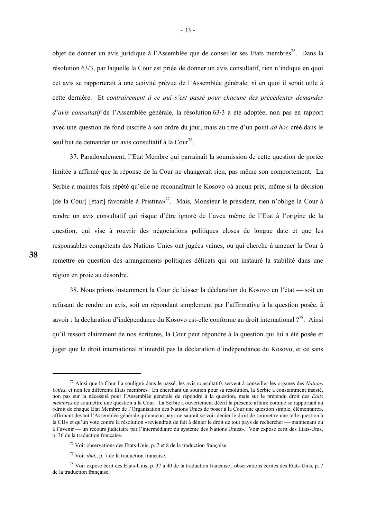objet de donner un avis juridique à l'Assemblée que de conseiller ses Etats membres<sup>75</sup>. Dans la résolution 63/3, par laquelle la Cour est priée de donner un avis consultatif, rien n'indique en quoi cet avis se rapporterait à une activité prévue de l'Assemblée générale, ni en quoi il serait utile à cette dernière. Et *contrairement à ce qui s'est passé pour chacune des précédentes demandes d'avis consultatif* de l'Assemblée générale, la résolution 63/3 a été adoptée, non pas en rapport avec une question de fond inscrite à son ordre du jour, mais au titre d'un point *ad hoc* créé dans le seul but de demander un avis consultatif à la  $\text{Cour}^{76}$ .

 37. Paradoxalement, l'Etat Membre qui parrainait la soumission de cette question de portée limitée a affirmé que la réponse de la Cour ne changerait rien, pas même son comportement. La Serbie a maintes fois répété qu'elle ne reconnaîtrait le Kosovo «à aucun prix, même si la décision [de la Cour] [était] favorable à Pristina»<sup>77</sup>. Mais, Monsieur le président, rien n'oblige la Cour à rendre un avis consultatif qui risque d'être ignoré de l'aveu même de l'Etat à l'origine de la question, qui vise à rouvrir des négociations politiques closes de longue date et que les responsables compétents des Nations Unies ont jugées vaines, ou qui cherche à amener la Cour à remettre en question des arrangements politiques délicats qui ont instauré la stabilité dans une région en proie au désordre.

38. Nous prions instamment la Cour de laisser la déclaration du Kosovo en l'état — soit en refusant de rendre un avis, soit en répondant simplement par l'affirmative à la question posée, à savoir : la déclaration d'indépendance du Kosovo est-elle conforme au droit international ?<sup>78</sup>. Ainsi qu'il ressort clairement de nos écritures, la Cour peut répondre à la question qui lui a été posée et juger que le droit international n'interdit pas la déclaration d'indépendance du Kosovo, et ce sans

-

<sup>75</sup> Ainsi que la Cour l'a souligné dans le passé, les avis consultatifs servent à conseiller les organes des *Nations Unies*, et non les différents Etats membres. En cherchant un soutien pour sa résolution, la Serbie a constamment insisté, non pas sur la nécessité pour l'Assemblée générale de répondre à la question, mais sur le prétendu droit des *Etats membres* de soumettre une question à la Cour. La Serbie a ouvertement décrit la présente affaire comme se rapportant au «droit de chaque Etat Membre de l'Organisation des Nations Unies de poser à la Cour une question simple, élémentaire», affirmant devant l'Assemblée générale qu'»aucun pays ne saurait se voir dénier le droit de soumettre une telle question à la CIJ» et qu'un vote contre la résolution «reviendrait de fait à dénier le droit de tout pays de rechercher — maintenant ou à l'avenir — un recours judiciaire par l'intermédiaire du système des Nations Unies». Voir exposé écrit des Etats-Unis, p. 36 de la traduction française.

<sup>76</sup> Voir observations des Etats-Unis, p. 7 et 8 de la traduction française.

<sup>77</sup> Voir *ibid.*, p. 7 de la traduction française.

 $^{78}$  Voir exposé écrit des Etats-Unis, p. 37 à 40 de la traduction française ; observations écrites des Etats-Unis, p. 7 de la traduction française.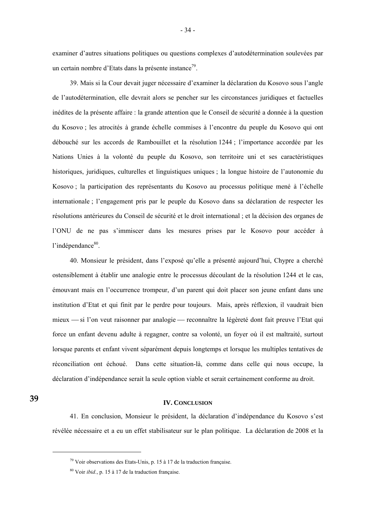examiner d'autres situations politiques ou questions complexes d'autodétermination soulevées par un certain nombre d'Etats dans la présente instance<sup>79</sup>.

 39. Mais si la Cour devait juger nécessaire d'examiner la déclaration du Kosovo sous l'angle de l'autodétermination, elle devrait alors se pencher sur les circonstances juridiques et factuelles inédites de la présente affaire : la grande attention que le Conseil de sécurité a donnée à la question du Kosovo ; les atrocités à grande échelle commises à l'encontre du peuple du Kosovo qui ont débouché sur les accords de Rambouillet et la résolution 1244 ; l'importance accordée par les Nations Unies à la volonté du peuple du Kosovo, son territoire uni et ses caractéristiques historiques, juridiques, culturelles et linguistiques uniques ; la longue histoire de l'autonomie du Kosovo ; la participation des représentants du Kosovo au processus politique mené à l'échelle internationale ; l'engagement pris par le peuple du Kosovo dans sa déclaration de respecter les résolutions antérieures du Conseil de sécurité et le droit international ; et la décision des organes de l'ONU de ne pas s'immiscer dans les mesures prises par le Kosovo pour accéder à l'indépendance<sup>80</sup>.

 40. Monsieur le président, dans l'exposé qu'elle a présenté aujourd'hui, Chypre a cherché ostensiblement à établir une analogie entre le processus découlant de la résolution 1244 et le cas, émouvant mais en l'occurrence trompeur, d'un parent qui doit placer son jeune enfant dans une institution d'Etat et qui finit par le perdre pour toujours. Mais, après réflexion, il vaudrait bien mieux — si l'on veut raisonner par analogie — reconnaître la légèreté dont fait preuve l'Etat qui force un enfant devenu adulte à regagner, contre sa volonté, un foyer où il est maltraité, surtout lorsque parents et enfant vivent séparément depuis longtemps et lorsque les multiples tentatives de réconciliation ont échoué. Dans cette situation-là, comme dans celle qui nous occupe, la déclaration d'indépendance serait la seule option viable et serait certainement conforme au droit.

**39** 

1

# **IV. CONCLUSION**

 41. En conclusion, Monsieur le président, la déclaration d'indépendance du Kosovo s'est révélée nécessaire et a eu un effet stabilisateur sur le plan politique. La déclaration de 2008 et la

 $79$  Voir observations des Etats-Unis, p. 15 à 17 de la traduction française.

<sup>80</sup> Voir *ibid.*, p. 15 à 17 de la traduction française.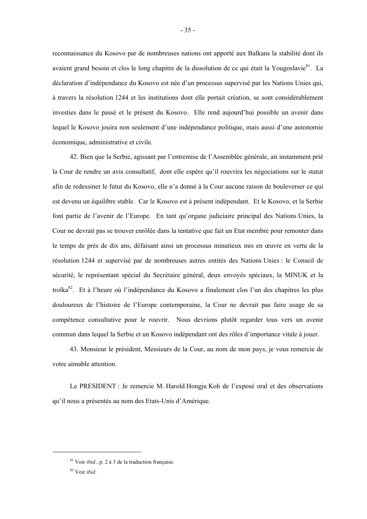reconnaissance du Kosovo par de nombreuses nations ont apporté aux Balkans la stabilité dont ils avaient grand besoin et clos le long chapitre de la dissolution de ce qui était la Yougoslavie<sup>81</sup>. La déclaration d'indépendance du Kosovo est née d'un processus supervisé par les Nations Unies qui, à travers la résolution 1244 et les institutions dont elle portait création, se sont considérablement investies dans le passé et le présent du Kosovo. Elle rend aujourd'hui possible un avenir dans lequel le Kosovo jouira non seulement d'une indépendance politique, mais aussi d'une autonomie économique, administrative et civile.

 42. Bien que la Serbie, agissant par l'entremise de l'Assemblée générale, ait instamment prié la Cour de rendre un avis consultatif, dont elle espère qu'il rouvrira les négociations sur le statut afin de redessiner le futur du Kosovo, elle n'a donné à la Cour aucune raison de bouleverser ce qui est devenu un équilibre stable. Car le Kosovo est à présent indépendant. Et le Kosovo, et la Serbie font partie de l'avenir de l'Europe. En tant qu'organe judiciaire principal des Nations Unies, la Cour ne devrait pas se trouver enrôlée dans la tentative que fait un Etat membre pour remonter dans le temps de près de dix ans, défaisant ainsi un processus minutieux mis en œuvre en vertu de la résolution 1244 et supervisé par de nombreuses autres entités des Nations Unies : le Conseil de sécurité, le représentant spécial du Secrétaire général, deux envoyés spéciaux, la MINUK et la troïka<sup>82</sup>. Et à l'heure où l'indépendance du Kosovo a finalement clos l'un des chapitres les plus douloureux de l'histoire de l'Europe contemporaine, la Cour ne devrait pas faire usage de sa compétence consultative pour le rouvrir. Nous devrions plutôt regarder tous vers un avenir commun dans lequel la Serbie et un Kosovo indépendant ont des rôles d'importance vitale à jouer.

 43. Monsieur le président, Messieurs de la Cour, au nom de mon pays, je vous remercie de votre aimable attention.

 Le PRESIDENT : Je remercie M. Harold Hongju Koh de l'exposé oral et des observations qu'il nous a présentés au nom des Etats-Unis d'Amérique.

<sup>81</sup> Voir *ibid.*, p. 2 à 3 de la traduction française.

<sup>82</sup> Voir *ibid*.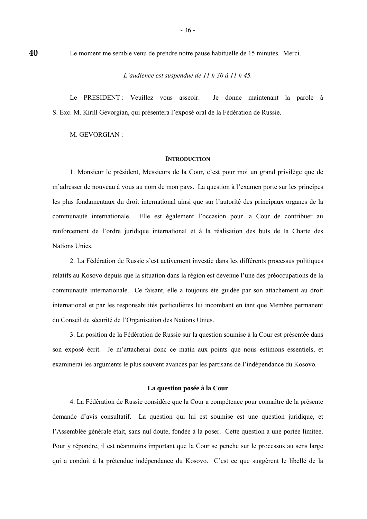Le moment me semble venu de prendre notre pause habituelle de 15 minutes. Merci.

*L'audience est suspendue de 11 h 30 à 11 h 45.* 

 Le PRESIDENT : Veuillez vous asseoir. Je donne maintenant la parole à S. Exc. M. Kirill Gevorgian, qui présentera l'exposé oral de la Fédération de Russie.

M. GEVORGIAN :

**40** 

# **INTRODUCTION**

 1. Monsieur le président, Messieurs de la Cour, c'est pour moi un grand privilège que de m'adresser de nouveau à vous au nom de mon pays. La question à l'examen porte sur les principes les plus fondamentaux du droit international ainsi que sur l'autorité des principaux organes de la communauté internationale. Elle est également l'occasion pour la Cour de contribuer au renforcement de l'ordre juridique international et à la réalisation des buts de la Charte des Nations Unies.

 2. La Fédération de Russie s'est activement investie dans les différents processus politiques relatifs au Kosovo depuis que la situation dans la région est devenue l'une des préoccupations de la communauté internationale. Ce faisant, elle a toujours été guidée par son attachement au droit international et par les responsabilités particulières lui incombant en tant que Membre permanent du Conseil de sécurité de l'Organisation des Nations Unies.

 3. La position de la Fédération de Russie sur la question soumise à la Cour est présentée dans son exposé écrit. Je m'attacherai donc ce matin aux points que nous estimons essentiels, et examinerai les arguments le plus souvent avancés par les partisans de l'indépendance du Kosovo.

# **La question posée à la Cour**

 4. La Fédération de Russie considère que la Cour a compétence pour connaître de la présente demande d'avis consultatif. La question qui lui est soumise est une question juridique, et l'Assemblée générale était, sans nul doute, fondée à la poser. Cette question a une portée limitée. Pour y répondre, il est néanmoins important que la Cour se penche sur le processus au sens large qui a conduit à la prétendue indépendance du Kosovo. C'est ce que suggèrent le libellé de la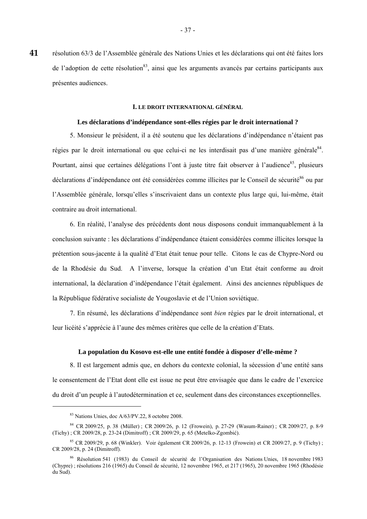résolution 63/3 de l'Assemblée générale des Nations Unies et les déclarations qui ont été faites lors de l'adoption de cette résolution<sup>83</sup>, ainsi que les arguments avancés par certains participants aux présentes audiences. **41** 

# **I. LE DROIT INTERNATIONAL GÉNÉRAL**

# **Les déclarations d'indépendance sont-elles régies par le droit international ?**

 5. Monsieur le président, il a été soutenu que les déclarations d'indépendance n'étaient pas régies par le droit international ou que celui-ci ne les interdisait pas d'une manière générale<sup>84</sup>. Pourtant, ainsi que certaines délégations l'ont à juste titre fait observer à l'audience<sup>85</sup>, plusieurs déclarations d'indépendance ont été considérées comme illicites par le Conseil de sécurité<sup>86</sup> ou par l'Assemblée générale, lorsqu'elles s'inscrivaient dans un contexte plus large qui, lui-même, était contraire au droit international.

 6. En réalité, l'analyse des précédents dont nous disposons conduit immanquablement à la conclusion suivante : les déclarations d'indépendance étaient considérées comme illicites lorsque la prétention sous-jacente à la qualité d'Etat était tenue pour telle. Citons le cas de Chypre-Nord ou de la Rhodésie du Sud. A l'inverse, lorsque la création d'un Etat était conforme au droit international, la déclaration d'indépendance l'était également. Ainsi des anciennes républiques de la République fédérative socialiste de Yougoslavie et de l'Union soviétique.

 7. En résumé, les déclarations d'indépendance sont *bien* régies par le droit international, et leur licéité s'apprécie à l'aune des mêmes critères que celle de la création d'Etats.

#### **La population du Kosovo est-elle une entité fondée à disposer d'elle-même ?**

 8. Il est largement admis que, en dehors du contexte colonial, la sécession d'une entité sans le consentement de l'Etat dont elle est issue ne peut être envisagée que dans le cadre de l'exercice du droit d'un peuple à l'autodétermination et ce, seulement dans des circonstances exceptionnelles.

<u>.</u>

<sup>83</sup> Nations Unies, doc A/63/PV.22, 8 octobre 2008.

<sup>84</sup> CR 2009/25, p. 38 (Müller) ; CR 2009/26, p. 12 (Frowein), p. 27-29 (Wasum-Rainer) ; CR 2009/27, p. 8-9 (Tichy) ; CR 2009/28, p. 23-24 (Dimitroff) ; CR 2009/29, p. 65 (Metelko-Zgombić).

<sup>85</sup> CR 2009/29, p. 68 (Winkler). Voir également CR 2009/26, p. 12-13 (Frowein) et CR 2009/27, p. 9 (Tichy) ; CR 2009/28, p. 24 (Dimitroff).

<sup>86</sup> Résolution 541 (1983) du Conseil de sécurité de l'Organisation des Nations Unies, 18 novembre 1983 (Chypre) ; résolutions 216 (1965) du Conseil de sécurité, 12 novembre 1965, et 217 (1965), 20 novembre 1965 (Rhodésie du Sud).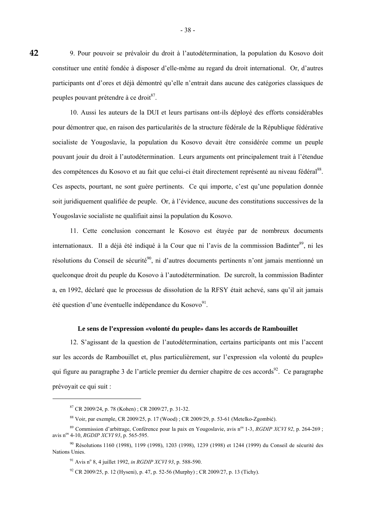9. Pour pouvoir se prévaloir du droit à l'autodétermination, la population du Kosovo doit constituer une entité fondée à disposer d'elle-même au regard du droit international. Or, d'autres participants ont d'ores et déjà démontré qu'elle n'entrait dans aucune des catégories classiques de peuples pouvant prétendre à ce droit<sup>87</sup>.

 10. Aussi les auteurs de la DUI et leurs partisans ont-ils déployé des efforts considérables pour démontrer que, en raison des particularités de la structure fédérale de la République fédérative socialiste de Yougoslavie, la population du Kosovo devait être considérée comme un peuple pouvant jouir du droit à l'autodétermination. Leurs arguments ont principalement trait à l'étendue des compétences du Kosovo et au fait que celui-ci était directement représenté au niveau fédéral<sup>88</sup>. Ces aspects, pourtant, ne sont guère pertinents. Ce qui importe, c'est qu'une population donnée soit juridiquement qualifiée de peuple. Or, à l'évidence, aucune des constitutions successives de la Yougoslavie socialiste ne qualifiait ainsi la population du Kosovo.

 11. Cette conclusion concernant le Kosovo est étayée par de nombreux documents internationaux. Il a déjà été indiqué à la Cour que ni l'avis de la commission Badinter<sup>89</sup>, ni les résolutions du Conseil de sécurité<sup>90</sup>, ni d'autres documents pertinents n'ont jamais mentionné un quelconque droit du peuple du Kosovo à l'autodétermination. De surcroît, la commission Badinter a, en 1992, déclaré que le processus de dissolution de la RFSY était achevé, sans qu'il ait jamais été question d'une éventuelle indépendance du Kosovo $91$ .

# **Le sens de l'expression «volonté du peuple» dans les accords de Rambouillet**

 12. S'agissant de la question de l'autodétermination, certains participants ont mis l'accent sur les accords de Rambouillet et, plus particulièrement, sur l'expression «la volonté du peuple» qui figure au paragraphe 3 de l'article premier du dernier chapitre de ces accords<sup>92</sup>. Ce paragraphe prévoyait ce qui suit :

1

<sup>87</sup> CR 2009/24, p. 78 (Kohen) ; CR 2009/27, p. 31-32.

<sup>88</sup> Voir, par exemple, CR 2009/25, p. 17 (Wood) ; CR 2009/29, p. 53-61 (Metelko-Zgombić).

<sup>&</sup>lt;sup>89</sup> Commission d'arbitrage, Conférence pour la paix en Yougoslavie, avis n<sup>os</sup> 1-3, *RGDIP XCVI 92*, p. 264-269 ; avis nos 4-10, *RGDIP XCVI 93*, p. 565-595.

<sup>90</sup> Résolutions 1160 (1998), 1199 (1998), 1203 (1998), 1239 (1998) et 1244 (1999) du Conseil de sécurité des Nations Unies.

<sup>&</sup>lt;sup>91</sup> Avis n° 8, 4 juillet 1992, *in RGDIP XCVI 93*, p. 588-590.

<sup>92</sup> CR 2009/25, p. 12 (Hyseni), p. 47, p. 52-56 (Murphy) ; CR 2009/27, p. 13 (Tichy).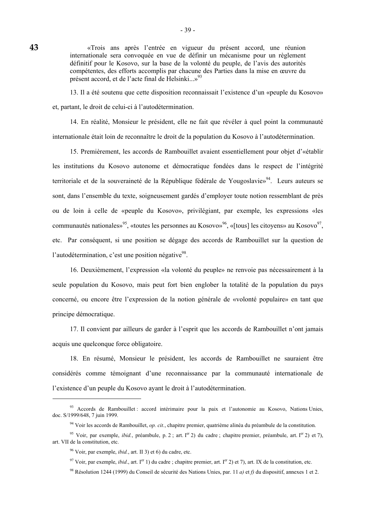«Trois ans après l'entrée en vigueur du présent accord, une réunion internationale sera convoquée en vue de définir un mécanisme pour un règlement définitif pour le Kosovo, sur la base de la volonté du peuple, de l'avis des autorités compétentes, des efforts accomplis par chacune des Parties dans la mise en œuvre du présent accord, et de l'acte final de Helsinki...»<sup>93</sup>

 13. Il a été soutenu que cette disposition reconnaissait l'existence d'un «peuple du Kosovo» et, partant, le droit de celui-ci à l'autodétermination.

 14. En réalité, Monsieur le président, elle ne fait que révéler à quel point la communauté internationale était loin de reconnaître le droit de la population du Kosovo à l'autodétermination.

 15. Premièrement, les accords de Rambouillet avaient essentiellement pour objet d'«établir les institutions du Kosovo autonome et démocratique fondées dans le respect de l'intégrité territoriale et de la souveraineté de la République fédérale de Yougoslavie»<sup>94</sup>. Leurs auteurs se sont, dans l'ensemble du texte, soigneusement gardés d'employer toute notion ressemblant de près ou de loin à celle de «peuple du Kosovo», privilégiant, par exemple, les expressions «les communautés nationales»<sup>95</sup>, «toutes les personnes au Kosovo»<sup>96</sup>, «[tous] les citoyens» au Kosovo<sup>97</sup>, etc. Par conséquent, si une position se dégage des accords de Rambouillet sur la question de l'autodétermination, c'est une position négative<sup>98</sup>.

 16. Deuxièmement, l'expression «la volonté du peuple» ne renvoie pas nécessairement à la seule population du Kosovo, mais peut fort bien englober la totalité de la population du pays concerné, ou encore être l'expression de la notion générale de «volonté populaire» en tant que principe démocratique.

 17. Il convient par ailleurs de garder à l'esprit que les accords de Rambouillet n'ont jamais acquis une quelconque force obligatoire.

 18. En résumé, Monsieur le président, les accords de Rambouillet ne sauraient être considérés comme témoignant d'une reconnaissance par la communauté internationale de l'existence d'un peuple du Kosovo ayant le droit à l'autodétermination.

<u>.</u>

<sup>93</sup> Accords de Rambouillet : accord intérimaire pour la paix et l'autonomie au Kosovo, Nations Unies, doc. S/1999/648, 7 juin 1999.

<sup>94</sup> Voir les accords de Rambouillet, *op. cit.*, chapitre premier, quatrième alinéa du préambule de la constitution.

<sup>&</sup>lt;sup>95</sup> Voir, par exemple, *ibid.*, préambule, p. 2; art. I<sup>er</sup> 2) du cadre ; chapitre premier, préambule, art. I<sup>er</sup> 2) et 7), art. VII de la constitution, etc.

<sup>96</sup> Voir, par exemple, *ibid.*, art. II 3) et 6) du cadre, etc.

<sup>&</sup>lt;sup>97</sup> Voir, par exemple, *ibid.*, art. I<sup>er</sup> 1) du cadre ; chapitre premier, art. I<sup>er</sup> 2) et 7), art. IX de la constitution, etc.

<sup>98</sup> Résolution 1244 (1999) du Conseil de sécurité des Nations Unies, par. 11 *a)* et *f)* du dispositif, annexes 1 et 2.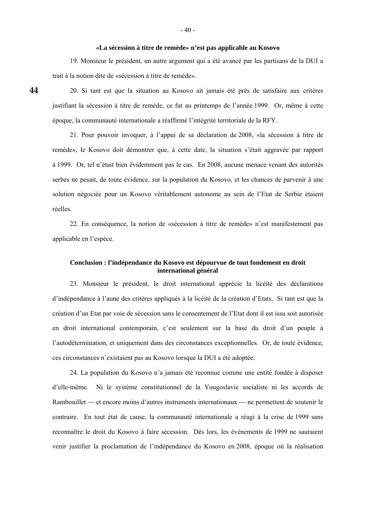#### **«La sécession à titre de remède» n'est pas applicable au Kosovo**

 19. Monsieur le président, un autre argument qui a été avancé par les partisans de la DUI a trait à la notion dite de «sécession à titre de remède».

 20. Si tant est que la situation au Kosovo ait jamais été près de satisfaire aux critères justifiant la sécession à titre de remède, ce fut au printemps de l'année 1999. Or, même à cette époque, la communauté internationale a réaffirmé l'intégrité territoriale de la RFY.

 21. Pour pouvoir invoquer, à l'appui de sa déclaration de 2008, «la sécession à titre de remède», le Kosovo doit démontrer que, à cette date, la situation s'était aggravée par rapport à 1999. Or, tel n'était bien évidemment pas le cas. En 2008, aucune menace venant des autorités serbes ne pesait, de toute évidence, sur la population du Kosovo, et les chances de parvenir à une solution négociée pour un Kosovo véritablement autonome au sein de l'Etat de Serbie étaient réelles.

 22. En conséquence, la notion de «sécession à titre de remède» n'est manifestement pas applicable en l'espèce.

# **Conclusion : l'indépendance du Kosovo est dépourvue de tout fondement en droit international général**

 23. Monsieur le président, le droit international apprécie la licéité des déclarations d'indépendance à l'aune des critères appliqués à la licéité de la création d'Etats. Si tant est que la création d'un Etat par voie de sécession sans le consentement de l'Etat dont il est issu soit autorisée en droit international contemporain, c'est seulement sur la base du droit d'un peuple à l'autodétermination, et uniquement dans des circonstances exceptionnelles. Or, de toute évidence, ces circonstances n'existaient pas au Kosovo lorsque la DUI a été adoptée.

 24. La population du Kosovo n'a jamais été reconnue comme une entité fondée à disposer d'elle-même. Ni le système constitutionnel de la Yougoslavie socialiste ni les accords de Rambouillet — et encore moins d'autres instruments internationaux — ne permettent de soutenir le contraire. En tout état de cause, la communauté internationale a réagi à la crise de 1999 sans reconnaître le droit du Kosovo à faire sécession. Dès lors, les événements de 1999 ne sauraient venir justifier la proclamation de l'indépendance du Kosovo en 2008, époque où la réalisation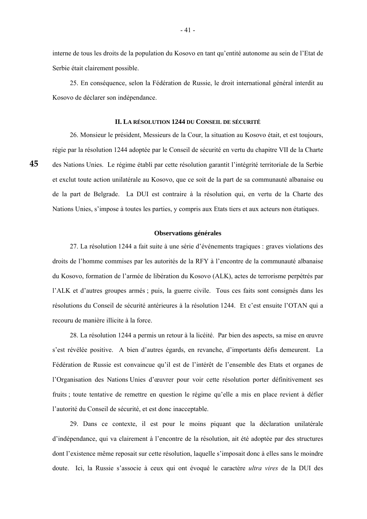interne de tous les droits de la population du Kosovo en tant qu'entité autonome au sein de l'Etat de Serbie était clairement possible.

 25. En conséquence, selon la Fédération de Russie, le droit international général interdit au Kosovo de déclarer son indépendance.

### **II. LA RÉSOLUTION 1244 DU CONSEIL DE SÉCURITÉ**

 26. Monsieur le président, Messieurs de la Cour, la situation au Kosovo était, et est toujours, régie par la résolution 1244 adoptée par le Conseil de sécurité en vertu du chapitre VII de la Charte des Nations Unies. Le régime établi par cette résolution garantit l'intégrité territoriale de la Serbie et exclut toute action unilatérale au Kosovo, que ce soit de la part de sa communauté albanaise ou de la part de Belgrade. La DUI est contraire à la résolution qui, en vertu de la Charte des Nations Unies, s'impose à toutes les parties, y compris aux Etats tiers et aux acteurs non étatiques.

**45** 

#### **Observations générales**

 27. La résolution 1244 a fait suite à une série d'événements tragiques : graves violations des droits de l'homme commises par les autorités de la RFY à l'encontre de la communauté albanaise du Kosovo, formation de l'armée de libération du Kosovo (ALK), actes de terrorisme perpétrés par l'ALK et d'autres groupes armés ; puis, la guerre civile. Tous ces faits sont consignés dans les résolutions du Conseil de sécurité antérieures à la résolution 1244. Et c'est ensuite l'OTAN qui a recouru de manière illicite à la force.

 28. La résolution 1244 a permis un retour à la licéité. Par bien des aspects, sa mise en œuvre s'est révélée positive. A bien d'autres égards, en revanche, d'importants défis demeurent. La Fédération de Russie est convaincue qu'il est de l'intérêt de l'ensemble des Etats et organes de l'Organisation des Nations Unies d'œuvrer pour voir cette résolution porter définitivement ses fruits ; toute tentative de remettre en question le régime qu'elle a mis en place revient à défier l'autorité du Conseil de sécurité, et est donc inacceptable.

 29. Dans ce contexte, il est pour le moins piquant que la déclaration unilatérale d'indépendance, qui va clairement à l'encontre de la résolution, ait été adoptée par des structures dont l'existence même reposait sur cette résolution, laquelle s'imposait donc à elles sans le moindre doute. Ici, la Russie s'associe à ceux qui ont évoqué le caractère *ultra vires* de la DUI des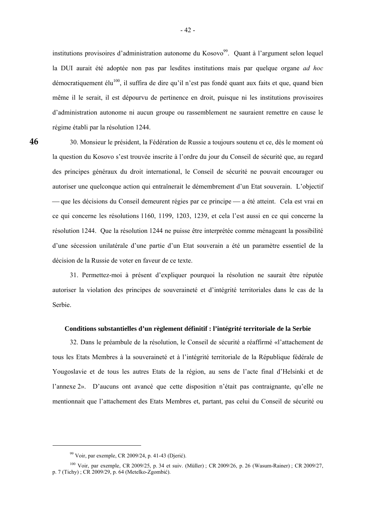institutions provisoires d'administration autonome du Kosovo<sup>99</sup>. Quant à l'argument selon lequel la DUI aurait été adoptée non pas par lesdites institutions mais par quelque organe *ad hoc* démocratiquement élu<sup>100</sup>, il suffira de dire qu'il n'est pas fondé quant aux faits et que, quand bien même il le serait, il est dépourvu de pertinence en droit, puisque ni les institutions provisoires d'administration autonome ni aucun groupe ou rassemblement ne sauraient remettre en cause le régime établi par la résolution 1244.

**46** 

 30. Monsieur le président, la Fédération de Russie a toujours soutenu et ce, dès le moment où la question du Kosovo s'est trouvée inscrite à l'ordre du jour du Conseil de sécurité que, au regard des principes généraux du droit international, le Conseil de sécurité ne pouvait encourager ou autoriser une quelconque action qui entraînerait le démembrement d'un Etat souverain. L'objectif - que les décisions du Conseil demeurent régies par ce principe — a été atteint. Cela est vrai en ce qui concerne les résolutions 1160, 1199, 1203, 1239, et cela l'est aussi en ce qui concerne la résolution 1244. Que la résolution 1244 ne puisse être interprétée comme ménageant la possibilité d'une sécession unilatérale d'une partie d'un Etat souverain a été un paramètre essentiel de la décision de la Russie de voter en faveur de ce texte.

 31. Permettez-moi à présent d'expliquer pourquoi la résolution ne saurait être réputée autoriser la violation des principes de souveraineté et d'intégrité territoriales dans le cas de la Serbie.

# **Conditions substantielles d'un règlement définitif : l'intégrité territoriale de la Serbie**

 32. Dans le préambule de la résolution, le Conseil de sécurité a réaffirmé «l'attachement de tous les Etats Membres à la souveraineté et à l'intégrité territoriale de la République fédérale de Yougoslavie et de tous les autres Etats de la région, au sens de l'acte final d'Helsinki et de l'annexe 2». D'aucuns ont avancé que cette disposition n'était pas contraignante, qu'elle ne mentionnait que l'attachement des Etats Membres et, partant, pas celui du Conseil de sécurité ou

<sup>99</sup> Voir, par exemple, CR 2009/24, p. 41-43 (Djerić).

<sup>100</sup> Voir, par exemple, CR 2009/25, p. 34 et suiv. (Müller) ; CR 2009/26, p. 26 (Wasum-Rainer) ; CR 2009/27, p. 7 (Tichy) ; CR 2009/29, p. 64 (Metelko-Zgombić).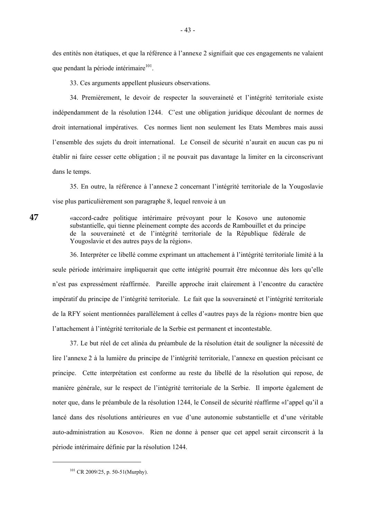des entités non étatiques, et que la référence à l'annexe 2 signifiait que ces engagements ne valaient que pendant la période intérimaire $101$ .

33. Ces arguments appellent plusieurs observations.

 34. Premièrement, le devoir de respecter la souveraineté et l'intégrité territoriale existe indépendamment de la résolution 1244. C'est une obligation juridique découlant de normes de droit international impératives. Ces normes lient non seulement les Etats Membres mais aussi l'ensemble des sujets du droit international. Le Conseil de sécurité n'aurait en aucun cas pu ni établir ni faire cesser cette obligation ; il ne pouvait pas davantage la limiter en la circonscrivant dans le temps.

 35. En outre, la référence à l'annexe 2 concernant l'intégrité territoriale de la Yougoslavie vise plus particulièrement son paragraphe 8, lequel renvoie à un

«accord-cadre politique intérimaire prévoyant pour le Kosovo une autonomie substantielle, qui tienne pleinement compte des accords de Rambouillet et du principe de la souveraineté et de l'intégrité territoriale de la République fédérale de Yougoslavie et des autres pays de la région».

 36. Interpréter ce libellé comme exprimant un attachement à l'intégrité territoriale limité à la seule période intérimaire impliquerait que cette intégrité pourrait être méconnue dès lors qu'elle n'est pas expressément réaffirmée. Pareille approche irait clairement à l'encontre du caractère impératif du principe de l'intégrité territoriale. Le fait que la souveraineté et l'intégrité territoriale de la RFY soient mentionnées parallèlement à celles d'«autres pays de la région» montre bien que l'attachement à l'intégrité territoriale de la Serbie est permanent et incontestable.

 37. Le but réel de cet alinéa du préambule de la résolution était de souligner la nécessité de lire l'annexe 2 à la lumière du principe de l'intégrité territoriale, l'annexe en question précisant ce principe. Cette interprétation est conforme au reste du libellé de la résolution qui repose, de manière générale, sur le respect de l'intégrité territoriale de la Serbie. Il importe également de noter que, dans le préambule de la résolution 1244, le Conseil de sécurité réaffirme «l'appel qu'il a lancé dans des résolutions antérieures en vue d'une autonomie substantielle et d'une véritable auto-administration au Kosovo». Rien ne donne à penser que cet appel serait circonscrit à la période intérimaire définie par la résolution 1244.

-

 $101$  CR 2009/25, p. 50-51(Murphy).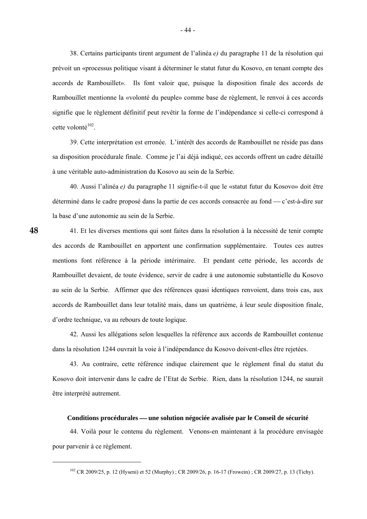38. Certains participants tirent argument de l'alinéa *e)* du paragraphe 11 de la résolution qui prévoit un «processus politique visant à déterminer le statut futur du Kosovo, en tenant compte des accords de Rambouillet». Ils font valoir que, puisque la disposition finale des accords de Rambouillet mentionne la «volonté du peuple» comme base de règlement, le renvoi à ces accords signifie que le règlement définitif peut revêtir la forme de l'indépendance si celle-ci correspond à cette volonté $102$ .

 39. Cette interprétation est erronée. L'intérêt des accords de Rambouillet ne réside pas dans sa disposition procédurale finale. Comme je l'ai déjà indiqué, ces accords offrent un cadre détaillé à une véritable auto-administration du Kosovo au sein de la Serbie.

 40. Aussi l'alinéa *e)* du paragraphe 11 signifie-t-il que le «statut futur du Kosovo» doit être déterminé dans le cadre proposé dans la partie de ces accords consacrée au fond — c'est-à-dire sur la base d'une autonomie au sein de la Serbie.

 41. Et les diverses mentions qui sont faites dans la résolution à la nécessité de tenir compte des accords de Rambouillet en apportent une confirmation supplémentaire. Toutes ces autres mentions font référence à la période intérimaire. Et pendant cette période, les accords de Rambouillet devaient, de toute évidence, servir de cadre à une autonomie substantielle du Kosovo au sein de la Serbie. Affirmer que des références quasi identiques renvoient, dans trois cas, aux accords de Rambouillet dans leur totalité mais, dans un quatrième, à leur seule disposition finale, d'ordre technique, va au rebours de toute logique.

 42. Aussi les allégations selon lesquelles la référence aux accords de Rambouillet contenue dans la résolution 1244 ouvrait la voie à l'indépendance du Kosovo doivent-elles être rejetées.

 43. Au contraire, cette référence indique clairement que le règlement final du statut du Kosovo doit intervenir dans le cadre de l'Etat de Serbie. Rien, dans la résolution 1244, ne saurait être interprété autrement.

#### **Conditions procédurales — une solution négociée avalisée par le Conseil de sécurité**

 44. Voilà pour le contenu du règlement. Venons-en maintenant à la procédure envisagée pour parvenir à ce règlement.

-

<sup>&</sup>lt;sup>102</sup> CR 2009/25, p. 12 (Hyseni) et 52 (Murphy) ; CR 2009/26, p. 16-17 (Frowein) ; CR 2009/27, p. 13 (Tichy).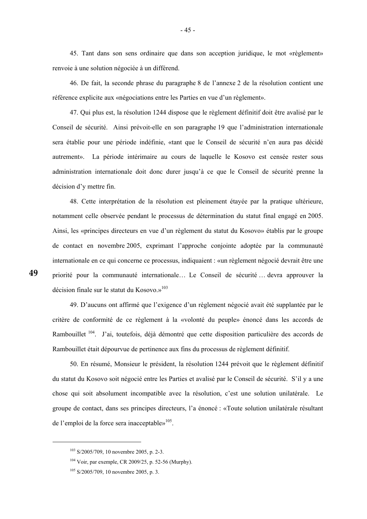45. Tant dans son sens ordinaire que dans son acception juridique, le mot «règlement» renvoie à une solution négociée à un différend.

 46. De fait, la seconde phrase du paragraphe 8 de l'annexe 2 de la résolution contient une référence explicite aux «négociations entre les Parties en vue d'un règlement».

 47. Qui plus est, la résolution 1244 dispose que le règlement définitif doit être avalisé par le Conseil de sécurité. Ainsi prévoit-elle en son paragraphe 19 que l'administration internationale sera établie pour une période indéfinie, «tant que le Conseil de sécurité n'en aura pas décidé autrement». La période intérimaire au cours de laquelle le Kosovo est censée rester sous administration internationale doit donc durer jusqu'à ce que le Conseil de sécurité prenne la décision d'y mettre fin.

 48. Cette interprétation de la résolution est pleinement étayée par la pratique ultérieure, notamment celle observée pendant le processus de détermination du statut final engagé en 2005. Ainsi, les «principes directeurs en vue d'un règlement du statut du Kosovo» établis par le groupe de contact en novembre 2005, exprimant l'approche conjointe adoptée par la communauté internationale en ce qui concerne ce processus, indiquaient : «un règlement négocié devrait être une priorité pour la communauté internationale… Le Conseil de sécurité … devra approuver la décision finale sur le statut du Kosovo.»<sup>103</sup>

1

 49. D'aucuns ont affirmé que l'exigence d'un règlement négocié avait été supplantée par le critère de conformité de ce règlement à la «volonté du peuple» énoncé dans les accords de Rambouillet <sup>104</sup>. J'ai, toutefois, déjà démontré que cette disposition particulière des accords de Rambouillet était dépourvue de pertinence aux fins du processus de règlement définitif.

 50. En résumé, Monsieur le président, la résolution 1244 prévoit que le règlement définitif du statut du Kosovo soit négocié entre les Parties et avalisé par le Conseil de sécurité. S'il y a une chose qui soit absolument incompatible avec la résolution, c'est une solution unilatérale. Le groupe de contact, dans ses principes directeurs, l'a énoncé : «Toute solution unilatérale résultant de l'emploi de la force sera inacceptable» $105$ .

<sup>103</sup> S/2005/709, 10 novembre 2005, p. 2-3.

<sup>104</sup> Voir, par exemple, CR 2009/25, p. 52-56 (Murphy).

 $105$  S/2005/709, 10 novembre 2005, p. 3.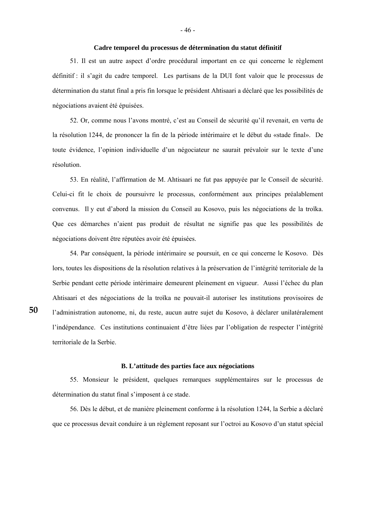### **Cadre temporel du processus de détermination du statut définitif**

 51. Il est un autre aspect d'ordre procédural important en ce qui concerne le règlement définitif : il s'agit du cadre temporel. Les partisans de la DUI font valoir que le processus de détermination du statut final a pris fin lorsque le président Ahtisaari a déclaré que les possibilités de négociations avaient été épuisées.

 52. Or, comme nous l'avons montré, c'est au Conseil de sécurité qu'il revenait, en vertu de la résolution 1244, de prononcer la fin de la période intérimaire et le début du «stade final». De toute évidence, l'opinion individuelle d'un négociateur ne saurait prévaloir sur le texte d'une résolution.

 53. En réalité, l'affirmation de M. Ahtisaari ne fut pas appuyée par le Conseil de sécurité. Celui-ci fit le choix de poursuivre le processus, conformément aux principes préalablement convenus. Il y eut d'abord la mission du Conseil au Kosovo, puis les négociations de la troïka. Que ces démarches n'aient pas produit de résultat ne signifie pas que les possibilités de négociations doivent être réputées avoir été épuisées.

 54. Par conséquent, la période intérimaire se poursuit, en ce qui concerne le Kosovo. Dès lors, toutes les dispositions de la résolution relatives à la préservation de l'intégrité territoriale de la Serbie pendant cette période intérimaire demeurent pleinement en vigueur. Aussi l'échec du plan Ahtisaari et des négociations de la troïka ne pouvait-il autoriser les institutions provisoires de l'administration autonome, ni, du reste, aucun autre sujet du Kosovo, à déclarer unilatéralement l'indépendance. Ces institutions continuaient d'être liées par l'obligation de respecter l'intégrité territoriale de la Serbie.

#### **B. L'attitude des parties face aux négociations**

 55. Monsieur le président, quelques remarques supplémentaires sur le processus de détermination du statut final s'imposent à ce stade.

 56. Dès le début, et de manière pleinement conforme à la résolution 1244, la Serbie a déclaré que ce processus devait conduire à un règlement reposant sur l'octroi au Kosovo d'un statut spécial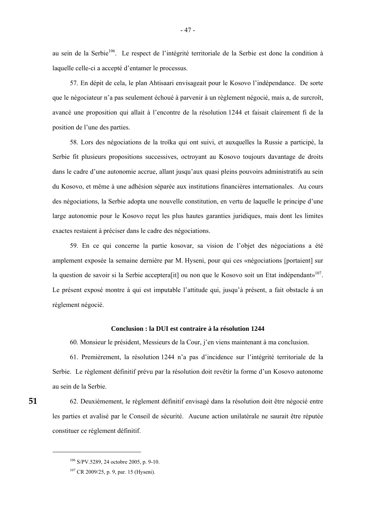au sein de la Serbie<sup>106</sup>. Le respect de l'intégrité territoriale de la Serbie est donc la condition à laquelle celle-ci a accepté d'entamer le processus.

 57. En dépit de cela, le plan Ahtisaari envisageait pour le Kosovo l'indépendance. De sorte que le négociateur n'a pas seulement échoué à parvenir à un règlement négocié, mais a, de surcroît, avancé une proposition qui allait à l'encontre de la résolution 1244 et faisait clairement fi de la position de l'une des parties.

 58. Lors des négociations de la troïka qui ont suivi, et auxquelles la Russie a participé, la Serbie fit plusieurs propositions successives, octroyant au Kosovo toujours davantage de droits dans le cadre d'une autonomie accrue, allant jusqu'aux quasi pleins pouvoirs administratifs au sein du Kosovo, et même à une adhésion séparée aux institutions financières internationales. Au cours des négociations, la Serbie adopta une nouvelle constitution, en vertu de laquelle le principe d'une large autonomie pour le Kosovo reçut les plus hautes garanties juridiques, mais dont les limites exactes restaient à préciser dans le cadre des négociations.

 59. En ce qui concerne la partie kosovar, sa vision de l'objet des négociations a été amplement exposée la semaine dernière par M. Hyseni, pour qui ces «négociations [portaient] sur la question de savoir si la Serbie acceptera<sup>[it]</sup> ou non que le Kosovo soit un Etat indépendant»<sup>107</sup>. Le présent exposé montre à qui est imputable l'attitude qui, jusqu'à présent, a fait obstacle à un règlement négocié.

#### **Conclusion : la DUI est contraire à la résolution 1244**

60. Monsieur le président, Messieurs de la Cour, j'en viens maintenant à ma conclusion.

 61. Premièrement, la résolution 1244 n'a pas d'incidence sur l'intégrité territoriale de la Serbie. Le règlement définitif prévu par la résolution doit revêtir la forme d'un Kosovo autonome au sein de la Serbie.

 62. Deuxièmement, le règlement définitif envisagé dans la résolution doit être négocié entre les parties et avalisé par le Conseil de sécurité. Aucune action unilatérale ne saurait être réputée constituer ce règlement définitif.

1

<sup>106</sup> S/PV.5289, 24 octobre 2005, p. 9-10.

<sup>107</sup> CR 2009/25, p. 9, par. 15 (Hyseni).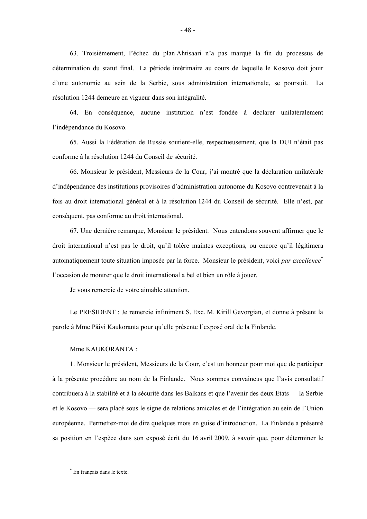63. Troisièmement, l'échec du plan Ahtisaari n'a pas marqué la fin du processus de détermination du statut final. La période intérimaire au cours de laquelle le Kosovo doit jouir d'une autonomie au sein de la Serbie, sous administration internationale, se poursuit. La résolution 1244 demeure en vigueur dans son intégralité.

- 48 -

 64. En conséquence, aucune institution n'est fondée à déclarer unilatéralement l'indépendance du Kosovo.

 65. Aussi la Fédération de Russie soutient-elle, respectueusement, que la DUI n'était pas conforme à la résolution 1244 du Conseil de sécurité.

 66. Monsieur le président, Messieurs de la Cour, j'ai montré que la déclaration unilatérale d'indépendance des institutions provisoires d'administration autonome du Kosovo contrevenait à la fois au droit international général et à la résolution 1244 du Conseil de sécurité. Elle n'est, par conséquent, pas conforme au droit international.

 67. Une dernière remarque, Monsieur le président. Nous entendons souvent affirmer que le droit international n'est pas le droit, qu'il tolère maintes exceptions, ou encore qu'il légitimera automatiquement toute situation imposée par la force. Monsieur le président, voici *par excellence*\* l'occasion de montrer que le droit international a bel et bien un rôle à jouer.

Je vous remercie de votre aimable attention.

 Le PRESIDENT : Je remercie infiniment S. Exc. M. Kirill Gevorgian, et donne à présent la parole à Mme Päivi Kaukoranta pour qu'elle présente l'exposé oral de la Finlande.

Mme KAUKORANTA :

 1. Monsieur le président, Messieurs de la Cour, c'est un honneur pour moi que de participer à la présente procédure au nom de la Finlande. Nous sommes convaincus que l'avis consultatif contribuera à la stabilité et à la sécurité dans les Balkans et que l'avenir des deux Etats — la Serbie et le Kosovo — sera placé sous le signe de relations amicales et de l'intégration au sein de l'Union européenne. Permettez-moi de dire quelques mots en guise d'introduction. La Finlande a présenté sa position en l'espèce dans son exposé écrit du 16 avril 2009, à savoir que, pour déterminer le

-

<sup>\*</sup> En français dans le texte.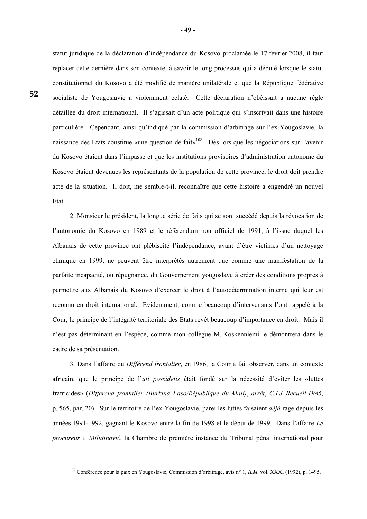**52** 

-

statut juridique de la déclaration d'indépendance du Kosovo proclamée le 17 février 2008, il faut replacer cette dernière dans son contexte, à savoir le long processus qui a débuté lorsque le statut constitutionnel du Kosovo a été modifié de manière unilatérale et que la République fédérative socialiste de Yougoslavie a violemment éclaté. Cette déclaration n'obéissait à aucune règle détaillée du droit international. Il s'agissait d'un acte politique qui s'inscrivait dans une histoire particulière. Cependant, ainsi qu'indiqué par la commission d'arbitrage sur l'ex-Yougoslavie, la naissance des Etats constitue «une question de fait»<sup>108</sup>. Dès lors que les négociations sur l'avenir du Kosovo étaient dans l'impasse et que les institutions provisoires d'administration autonome du Kosovo étaient devenues les représentants de la population de cette province, le droit doit prendre acte de la situation. Il doit, me semble-t-il, reconnaître que cette histoire a engendré un nouvel Etat.

 2. Monsieur le président, la longue série de faits qui se sont succédé depuis la révocation de l'autonomie du Kosovo en 1989 et le référendum non officiel de 1991, à l'issue duquel les Albanais de cette province ont plébiscité l'indépendance, avant d'être victimes d'un nettoyage ethnique en 1999, ne peuvent être interprétés autrement que comme une manifestation de la parfaite incapacité, ou répugnance, du Gouvernement yougoslave à créer des conditions propres à permettre aux Albanais du Kosovo d'exercer le droit à l'autodétermination interne qui leur est reconnu en droit international. Evidemment, comme beaucoup d'intervenants l'ont rappelé à la Cour, le principe de l'intégrité territoriale des Etats revêt beaucoup d'importance en droit. Mais il n'est pas déterminant en l'espèce, comme mon collègue M. Koskenniemi le démontrera dans le cadre de sa présentation.

 3. Dans l'affaire du *Différend frontalier*, en 1986, la Cour a fait observer, dans un contexte africain, que le principe de l'*uti possidetis* était fondé sur la nécessité d'éviter les «luttes fratricides» (*Différend frontalier (Burkina Faso/République du Mali)*, *arrêt*, *C.I.J. Recueil 1986*, p. 565, par. 20). Sur le territoire de l'ex-Yougoslavie, pareilles luttes faisaient *déjà* rage depuis les années 1991-1992, gagnant le Kosovo entre la fin de 1998 et le début de 1999. Dans l'affaire *Le procureur c. Milutinović*, la Chambre de première instance du Tribunal pénal international pour

<sup>108</sup> Conférence pour la paix en Yougoslavie, Commission d'arbitrage, avis n° 1, *ILM*, vol. XXXI (1992), p. 1495.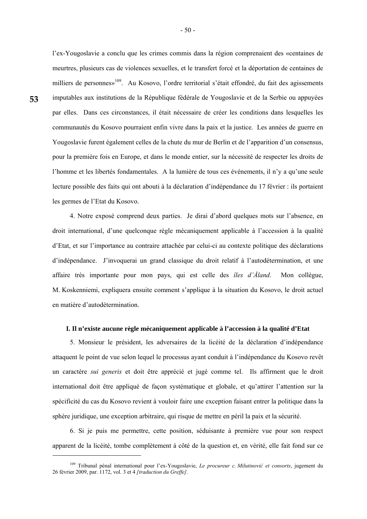**53** 

1

l'ex-Yougoslavie a conclu que les crimes commis dans la région comprenaient des «centaines de meurtres, plusieurs cas de violences sexuelles, et le transfert forcé et la déportation de centaines de milliers de personnes»<sup>109</sup>. Au Kosovo, l'ordre territorial s'était effondré, du fait des agissements imputables aux institutions de la République fédérale de Yougoslavie et de la Serbie ou appuyées par elles. Dans ces circonstances, il était nécessaire de créer les conditions dans lesquelles les communautés du Kosovo pourraient enfin vivre dans la paix et la justice. Les années de guerre en Yougoslavie furent également celles de la chute du mur de Berlin et de l'apparition d'un consensus, pour la première fois en Europe, et dans le monde entier, sur la nécessité de respecter les droits de l'homme et les libertés fondamentales. A la lumière de tous ces événements, il n'y a qu'une seule lecture possible des faits qui ont abouti à la déclaration d'indépendance du 17 février : ils portaient les germes de l'Etat du Kosovo.

 4. Notre exposé comprend deux parties. Je dirai d'abord quelques mots sur l'absence, en droit international, d'une quelconque règle mécaniquement applicable à l'accession à la qualité d'Etat, et sur l'importance au contraire attachée par celui-ci au contexte politique des déclarations d'indépendance. J'invoquerai un grand classique du droit relatif à l'autodétermination, et une affaire très importante pour mon pays, qui est celle des *îles d'Åland*. Mon collègue, M. Koskenniemi, expliquera ensuite comment s'applique à la situation du Kosovo, le droit actuel en matière d'autodétermination.

# **I. Il n'existe aucune règle mécaniquement applicable à l'accession à la qualité d'Etat**

 5. Monsieur le président, les adversaires de la licéité de la déclaration d'indépendance attaquent le point de vue selon lequel le processus ayant conduit à l'indépendance du Kosovo revêt un caractère *sui generis* et doit être apprécié et jugé comme tel. Ils affirment que le droit international doit être appliqué de façon systématique et globale, et qu'attirer l'attention sur la spécificité du cas du Kosovo revient à vouloir faire une exception faisant entrer la politique dans la sphère juridique, une exception arbitraire, qui risque de mettre en péril la paix et la sécurité.

 6. Si je puis me permettre, cette position, séduisante à première vue pour son respect apparent de la licéité, tombe complètement à côté de la question et, en vérité, elle fait fond sur ce

<sup>109</sup> Tribunal pénal international pour l'ex-Yougoslavie, *Le procureur c. Milutinović et consorts*, jugement du 26 février 2009, par. 1172, vol. 3 et 4 *[traduction du Greffe]*.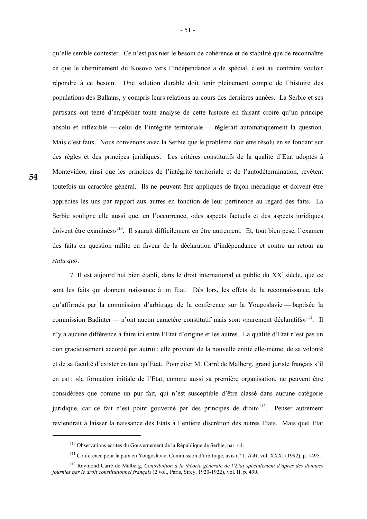qu'elle semble contester. Ce n'est pas nier le besoin de cohérence et de stabilité que de reconnaître ce que le cheminement du Kosovo vers l'indépendance a de spécial, c'est au contraire vouloir répondre à ce besoin. Une solution durable doit tenir pleinement compte de l'histoire des populations des Balkans, y compris leurs relations au cours des dernières années. La Serbie et ses partisans ont tenté d'empêcher toute analyse de cette histoire en faisant croire qu'un principe absolu et inflexible — celui de l'intégrité territoriale — réglerait automatiquement la question. Mais c'est faux. Nous convenons avec la Serbie que le problème doit être résolu en se fondant sur des règles et des principes juridiques. Les critères constitutifs de la qualité d'Etat adoptés à Montevideo, ainsi que les principes de l'intégrité territoriale et de l'autodétermination, revêtent toutefois un caractère général. Ils ne peuvent être appliqués de façon mécanique et doivent être appréciés les uns par rapport aux autres en fonction de leur pertinence au regard des faits. La Serbie souligne elle aussi que, en l'occurrence, «des aspects factuels et des aspects juridiques doivent être examinés»<sup>110</sup>. Il saurait difficilement en être autrement. Et, tout bien pesé, l'examen des faits en question milite en faveur de la déclaration d'indépendance et contre un retour au *statu quo*.

7. Il est aujourd'hui bien établi, dans le droit international et public du XX<sup>e</sup> siècle, que ce sont les faits qui donnent naissance à un Etat. Dès lors, les effets de la reconnaissance, tels qu'affirmés par la commission d'arbitrage de la conférence sur la Yougoslavie — baptisée la commission Badinter — n'ont aucun caractère constitutif mais sont «purement déclaratifs»<sup>111</sup>. Il n'y a aucune différence à faire ici entre l'Etat d'origine et les autres. La qualité d'Etat n'est pas un don gracieusement accordé par autrui ; elle provient de la nouvelle entité elle-même, de sa volonté et de sa faculté d'exister en tant qu'Etat. Pour citer M. Carré de Malberg, grand juriste français s'il en est : «la formation initiale de l'Etat, comme aussi sa première organisation, ne peuvent être considérées que comme un pur fait, qui n'est susceptible d'être classé dans aucune catégorie juridique, car ce fait n'est point gouverné par des principes de droit $y^{1/2}$ . Penser autrement reviendrait à laisser la naissance des Etats à l'entière discrétion des autres Etats. Mais quel Etat

-

<sup>110</sup> Observations écrites du Gouvernement de la République de Serbie, par. 44.

<sup>111</sup> Conférence pour la paix en Yougoslavie, Commission d'arbitrage, avis n° 1, *ILM*, vol. XXXI (1992), p. 1495.

<sup>112</sup> Raymond Carré de Malberg, *Contribution à la théorie générale de l'Etat spécialement d'après des données fournies par le droit constitutionnel français* (2 vol., Paris, Sirey, 1920-1922), vol. II, p. 490.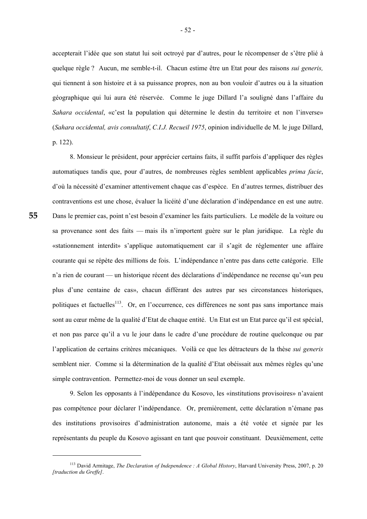accepterait l'idée que son statut lui soit octroyé par d'autres, pour le récompenser de s'être plié à quelque règle ? Aucun, me semble-t-il. Chacun estime être un Etat pour des raisons *sui generis,* qui tiennent à son histoire et à sa puissance propres, non au bon vouloir d'autres ou à la situation géographique qui lui aura été réservée. Comme le juge Dillard l'a souligné dans l'affaire du *Sahara occidental*, «c'est la population qui détermine le destin du territoire et non l'inverse» (*Sahara occidental, avis consultatif*, *C.I.J. Recueil 1975*, opinion individuelle de M. le juge Dillard, p. 122).

 8. Monsieur le président, pour apprécier certains faits, il suffit parfois d'appliquer des règles automatiques tandis que, pour d'autres, de nombreuses règles semblent applicables *prima facie*, d'où la nécessité d'examiner attentivement chaque cas d'espèce. En d'autres termes, distribuer des contraventions est une chose, évaluer la licéité d'une déclaration d'indépendance en est une autre. Dans le premier cas, point n'est besoin d'examiner les faits particuliers. Le modèle de la voiture ou sa provenance sont des faits — mais ils n'importent guère sur le plan juridique. La règle du «stationnement interdit» s'applique automatiquement car il s'agit de réglementer une affaire courante qui se répète des millions de fois. L'indépendance n'entre pas dans cette catégorie. Elle n'a rien de courant — un historique récent des déclarations d'indépendance ne recense qu'«un peu plus d'une centaine de cas», chacun différant des autres par ses circonstances historiques, politiques et factuelles<sup>113</sup>. Or, en l'occurrence, ces différences ne sont pas sans importance mais sont au cœur même de la qualité d'Etat de chaque entité. Un Etat est un Etat parce qu'il est spécial, et non pas parce qu'il a vu le jour dans le cadre d'une procédure de routine quelconque ou par l'application de certains critères mécaniques. Voilà ce que les détracteurs de la thèse *sui generis*  semblent nier. Comme si la détermination de la qualité d'Etat obéissait aux mêmes règles qu'une simple contravention. Permettez-moi de vous donner un seul exemple.

 9. Selon les opposants à l'indépendance du Kosovo, les «institutions provisoires» n'avaient pas compétence pour déclarer l'indépendance. Or, premièrement, cette déclaration n'émane pas des institutions provisoires d'administration autonome, mais a été votée et signée par les représentants du peuple du Kosovo agissant en tant que pouvoir constituant. Deuxièmement, cette

1

<sup>113</sup> David Armitage, *The Declaration of Independence : A Global History*, Harvard University Press, 2007, p. 20 *[traduction du Greffe]*.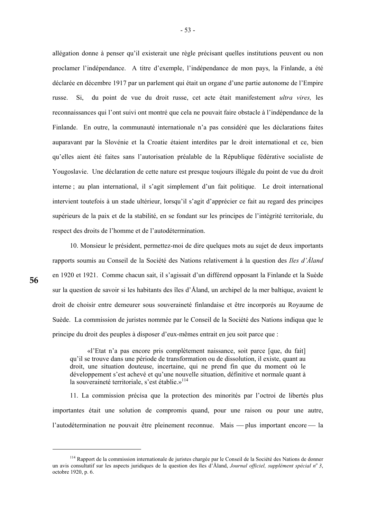allégation donne à penser qu'il existerait une règle précisant quelles institutions peuvent ou non proclamer l'indépendance. A titre d'exemple, l'indépendance de mon pays, la Finlande, a été déclarée en décembre 1917 par un parlement qui était un organe d'une partie autonome de l'Empire russe. Si, du point de vue du droit russe, cet acte était manifestement *ultra vires,* les reconnaissances qui l'ont suivi ont montré que cela ne pouvait faire obstacle à l'indépendance de la Finlande. En outre, la communauté internationale n'a pas considéré que les déclarations faites auparavant par la Slovénie et la Croatie étaient interdites par le droit international et ce, bien qu'elles aient été faites sans l'autorisation préalable de la République fédérative socialiste de Yougoslavie. Une déclaration de cette nature est presque toujours illégale du point de vue du droit interne ; au plan international, il s'agit simplement d'un fait politique. Le droit international intervient toutefois à un stade ultérieur, lorsqu'il s'agit d'apprécier ce fait au regard des principes supérieurs de la paix et de la stabilité, en se fondant sur les principes de l'intégrité territoriale, du respect des droits de l'homme et de l'autodétermination.

 10. Monsieur le président, permettez-moi de dire quelques mots au sujet de deux importants rapports soumis au Conseil de la Société des Nations relativement à la question des *Iles d'Åland* en 1920 et 1921. Comme chacun sait, il s'agissait d'un différend opposant la Finlande et la Suède sur la question de savoir si les habitants des îles d'Åland, un archipel de la mer baltique, avaient le droit de choisir entre demeurer sous souveraineté finlandaise et être incorporés au Royaume de Suède. La commission de juristes nommée par le Conseil de la Société des Nations indiqua que le principe du droit des peuples à disposer d'eux-mêmes entrait en jeu soit parce que :

 «l'Etat n'a pas encore pris complètement naissance, soit parce [que, du fait] qu'il se trouve dans une période de transformation ou de dissolution, il existe, quant au droit, une situation douteuse, incertaine, qui ne prend fin que du moment où le développement s'est achevé et qu'une nouvelle situation, définitive et normale quant à la souveraineté territoriale, s'est établie.»<sup>114</sup>

 11. La commission précisa que la protection des minorités par l'octroi de libertés plus importantes était une solution de compromis quand, pour une raison ou pour une autre, l'autodétermination ne pouvait être pleinement reconnue. Mais — plus important encore — la

**56** 

<sup>&</sup>lt;sup>114</sup> Rapport de la commission internationale de juristes chargée par le Conseil de la Société des Nations de donner un avis consultatif sur les aspects juridiques de la question des îles d'Åland, *Journal officiel, supplément spécial no 3*, octobre 1920, p. 6.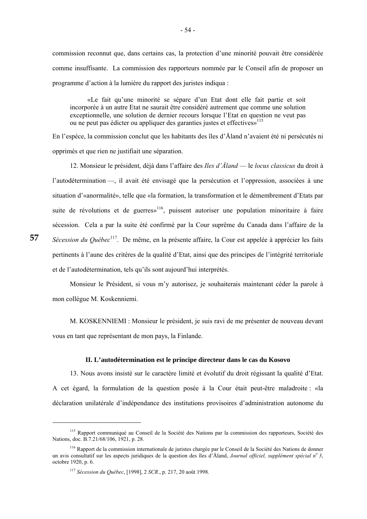commission reconnut que, dans certains cas, la protection d'une minorité pouvait être considérée comme insuffisante. La commission des rapporteurs nommée par le Conseil afin de proposer un programme d'action à la lumière du rapport des juristes indiqua :

 «Le fait qu'une minorité se sépare d'un Etat dont elle fait partie et soit incorporée à un autre Etat ne saurait être considéré autrement que comme une solution exceptionnelle, une solution de dernier recours lorsque l'Etat en question ne veut pas ou ne peut pas édicter ou appliquer des garanties justes et effectives»<sup>115</sup>

En l'espèce, la commission conclut que les habitants des îles d'Åland n'avaient été ni persécutés ni opprimés et que rien ne justifiait une séparation.

 12. Monsieur le président, déjà dans l'affaire des *Iles d'Åland* — le *locus classicus* du droit à l'autodétermination —, il avait été envisagé que la persécution et l'oppression, associées à une situation d'«anormalité», telle que «la formation, la transformation et le démembrement d'Etats par suite de révolutions et de guerres<sup>116</sup>, puissent autoriser une population minoritaire à faire sécession. Cela a par la suite été confirmé par la Cour suprême du Canada dans l'affaire de la *Sécession du Québec*<sup>117</sup>. De même, en la présente affaire, la Cour est appelée à apprécier les faits pertinents à l'aune des critères de la qualité d'Etat, ainsi que des principes de l'intégrité territoriale et de l'autodétermination, tels qu'ils sont aujourd'hui interprétés.

 Monsieur le Président, si vous m'y autorisez, je souhaiterais maintenant céder la parole à mon collègue M. Koskenniemi.

 M. KOSKENNIEMI : Monsieur le président, je suis ravi de me présenter de nouveau devant vous en tant que représentant de mon pays, la Finlande.

#### **II. L'autodétermination est le principe directeur dans le cas du Kosovo**

 13. Nous avons insisté sur le caractère limité et évolutif du droit régissant la qualité d'Etat. A cet égard, la formulation de la question posée à la Cour était peut-être maladroite : «la déclaration unilatérale d'indépendance des institutions provisoires d'administration autonome du

1

<sup>&</sup>lt;sup>115</sup> Rapport communiqué au Conseil de la Société des Nations par la commission des rapporteurs, Société des Nations, doc. B.7.21/68/106, 1921, p. 28.

<sup>&</sup>lt;sup>116</sup> Rapport de la commission internationale de juristes chargée par le Conseil de la Société des Nations de donner un avis consultatif sur les aspects juridiques de la question des îles d'Åland, *Journal officiel, supplément spécial no 3*, octobre 1920, p. 6.

<sup>117</sup> *Sécession du Québec*, [1998], 2 *SCR*., p. 217, 20 août 1998.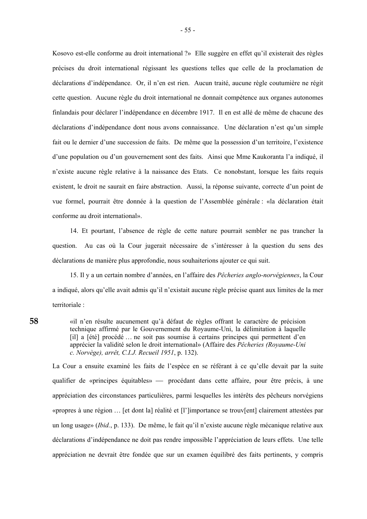Kosovo est-elle conforme au droit international ?» Elle suggère en effet qu'il existerait des règles précises du droit international régissant les questions telles que celle de la proclamation de déclarations d'indépendance. Or, il n'en est rien. Aucun traité, aucune règle coutumière ne régit cette question. Aucune règle du droit international ne donnait compétence aux organes autonomes finlandais pour déclarer l'indépendance en décembre 1917. Il en est allé de même de chacune des déclarations d'indépendance dont nous avons connaissance. Une déclaration n'est qu'un simple fait ou le dernier d'une succession de faits. De même que la possession d'un territoire, l'existence d'une population ou d'un gouvernement sont des faits. Ainsi que Mme Kaukoranta l'a indiqué, il n'existe aucune règle relative à la naissance des Etats. Ce nonobstant, lorsque les faits requis existent, le droit ne saurait en faire abstraction. Aussi, la réponse suivante, correcte d'un point de vue formel, pourrait être donnée à la question de l'Assemblée générale : «la déclaration était conforme au droit international».

 14. Et pourtant, l'absence de règle de cette nature pourrait sembler ne pas trancher la question. Au cas où la Cour jugerait nécessaire de s'intéresser à la question du sens des déclarations de manière plus approfondie, nous souhaiterions ajouter ce qui suit.

 15. Il y a un certain nombre d'années, en l'affaire des *Pêcheries anglo-norvégiennes*, la Cour a indiqué, alors qu'elle avait admis qu'il n'existait aucune règle précise quant aux limites de la mer territoriale :

«il n'en résulte aucunement qu'à défaut de règles offrant le caractère de précision technique affirmé par le Gouvernement du Royaume-Uni, la délimitation à laquelle [il] a [été] procédé … ne soit pas soumise à certains principes qui permettent d'en apprécier la validité selon le droit international» (Affaire des *Pêcheries (Royaume-Uni c. Norvège), arrêt, C.I.J. Recueil 1951*, p. 132).

La Cour a ensuite examiné les faits de l'espèce en se référant à ce qu'elle devait par la suite qualifier de «principes équitables» — procédant dans cette affaire, pour être précis, à une appréciation des circonstances particulières, parmi lesquelles les intérêts des pêcheurs norvégiens «propres à une région … [et dont la] réalité et [l']importance se trouv[ent] clairement attestées par un long usage» (*Ibid.*, p. 133). De même, le fait qu'il n'existe aucune règle mécanique relative aux déclarations d'indépendance ne doit pas rendre impossible l'appréciation de leurs effets. Une telle appréciation ne devrait être fondée que sur un examen équilibré des faits pertinents, y compris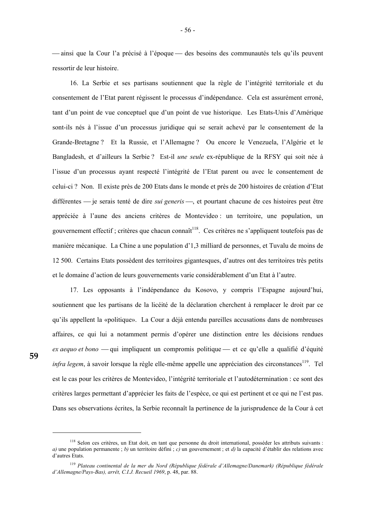— ainsi que la Cour l'a précisé à l'époque — des besoins des communautés tels qu'ils peuvent ressortir de leur histoire.

 16. La Serbie et ses partisans soutiennent que la règle de l'intégrité territoriale et du consentement de l'Etat parent régissent le processus d'indépendance. Cela est assurément erroné, tant d'un point de vue conceptuel que d'un point de vue historique. Les Etats-Unis d'Amérique sont-ils nés à l'issue d'un processus juridique qui se serait achevé par le consentement de la Grande-Bretagne ? Et la Russie, et l'Allemagne ? Ou encore le Venezuela, l'Algérie et le Bangladesh, et d'ailleurs la Serbie ? Est-il *une seule* ex-république de la RFSY qui soit née à l'issue d'un processus ayant respecté l'intégrité de l'Etat parent ou avec le consentement de celui-ci ? Non. Il existe près de 200 Etats dans le monde et près de 200 histoires de création d'Etat différentes — je serais tenté de dire *sui generis* —, et pourtant chacune de ces histoires peut être appréciée à l'aune des anciens critères de Montevideo : un territoire, une population, un gouvernement effectif ; critères que chacun connaît<sup>118</sup>. Ces critères ne s'appliquent toutefois pas de manière mécanique. La Chine a une population d'1,3 milliard de personnes, et Tuvalu de moins de 12 500. Certains Etats possèdent des territoires gigantesques, d'autres ont des territoires très petits et le domaine d'action de leurs gouvernements varie considérablement d'un Etat à l'autre.

 17. Les opposants à l'indépendance du Kosovo, y compris l'Espagne aujourd'hui, soutiennent que les partisans de la licéité de la déclaration cherchent à remplacer le droit par ce qu'ils appellent la «politique». La Cour a déjà entendu pareilles accusations dans de nombreuses affaires, ce qui lui a notamment permis d'opérer une distinction entre les décisions rendues *ex aequo et bono* — qui impliquent un compromis politique — et ce qu'elle a qualifié d'équité *infra legem*, à savoir lorsque la règle elle-même appelle une appréciation des circonstances<sup>119</sup>. Tel est le cas pour les critères de Montevideo, l'intégrité territoriale et l'autodétermination : ce sont des critères larges permettant d'apprécier les faits de l'espèce, ce qui est pertinent et ce qui ne l'est pas. Dans ses observations écrites, la Serbie reconnaît la pertinence de la jurisprudence de la Cour à cet

<sup>&</sup>lt;sup>118</sup> Selon ces critères, un Etat doit, en tant que personne du droit international, posséder les attributs suivants : *a)* une population permanente ; *b)* un territoire défini ; *c)* un gouvernement ; et *d)* la capacité d'établir des relations avec d'autres Etats.

<sup>119</sup> *Plateau continental de la mer du Nord (République fédérale d'Allemagne/Danemark) (République fédérale d'Allemagne/Pays-Bas), arrêt, C.I.J. Recueil 1969*, p. 48, par. 88.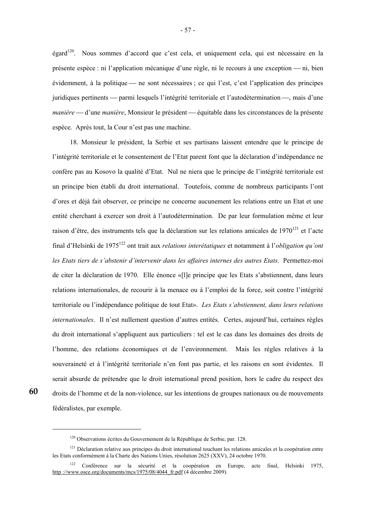égard120. Nous sommes d'accord que c'est cela, et uniquement cela, qui est nécessaire en la présente espèce : ni l'application mécanique d'une règle, ni le recours à une exception — ni, bien évidemment, à la politique — ne sont nécessaires ; ce qui l'est, c'est l'application des principes juridiques pertinents — parmi lesquels l'intégrité territoriale et l'autodétermination —, mais d'une *manière* — d'une *manière*, Monsieur le président — équitable dans les circonstances de la présente espèce. Après tout, la Cour n'est pas une machine.

 18. Monsieur le président, la Serbie et ses partisans laissent entendre que le principe de l'intégrité territoriale et le consentement de l'Etat parent font que la déclaration d'indépendance ne confère pas au Kosovo la qualité d'Etat. Nul ne niera que le principe de l'intégrité territoriale est un principe bien établi du droit international. Toutefois, comme de nombreux participants l'ont d'ores et déjà fait observer, ce principe ne concerne aucunement les relations entre un Etat et une entité cherchant à exercer son droit à l'autodétermination. De par leur formulation même et leur raison d'être, des instruments tels que la déclaration sur les relations amicales de 1970<sup>121</sup> et l'acte final d'Helsinki de 1975122 ont trait aux *relations interétatiques* et notamment à l'*obligation qu'ont les Etats tiers de s'abstenir d'intervenir dans les affaires internes des autres Etats*. Permettez-moi de citer la déclaration de 1970. Elle énonce «[l]e principe que les Etats s'abstiennent, dans leurs relations internationales, de recourir à la menace ou à l'emploi de la force, soit contre l'intégrité territoriale ou l'indépendance politique de tout Etat». *Les Etats s'abstiennent, dans leurs relations internationales*. Il n'est nullement question d'autres entités. Certes, aujourd'hui, certaines règles du droit international s'appliquent aux particuliers : tel est le cas dans les domaines des droits de l'homme, des relations économiques et de l'environnement. Mais les règles relatives à la souveraineté et à l'intégrité territoriale n'en font pas partie, et les raisons en sont évidentes. Il serait absurde de prétendre que le droit international prend position, hors le cadre du respect des droits de l'homme et de la non-violence, sur les intentions de groupes nationaux ou de mouvements fédéralistes, par exemple.

**60** 

<sup>&</sup>lt;sup>120</sup> Observations écrites du Gouvernement de la République de Serbie, par. 128.

 $121$  Déclaration relative aux principes du droit international touchant les relations amicales et la coopération entre les Etats conformément à la Charte des Nations Unies, résolution 2625 (XXV), 24 octobre 1970.

<sup>122</sup> Conférence sur la sécurité et la coopération en Europe, acte final, Helsinki 1975, http://www.osce.org/documents/mcs/1975/08/4044\_fr.pdf (4 décembre 2009).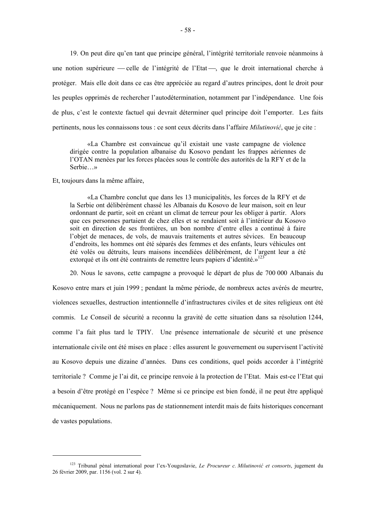19. On peut dire qu'en tant que principe général, l'intégrité territoriale renvoie néanmoins à une notion supérieure — celle de l'intégrité de l'Etat —, que le droit international cherche à protéger. Mais elle doit dans ce cas être appréciée au regard d'autres principes, dont le droit pour les peuples opprimés de rechercher l'autodétermination, notamment par l'indépendance. Une fois de plus, c'est le contexte factuel qui devrait déterminer quel principe doit l'emporter. Les faits pertinents, nous les connaissons tous : ce sont ceux décrits dans l'affaire *Milutinović*, que je cite :

 «La Chambre est convaincue qu'il existait une vaste campagne de violence dirigée contre la population albanaise du Kosovo pendant les frappes aériennes de l'OTAN menées par les forces placées sous le contrôle des autorités de la RFY et de la Serbie…»

Et, toujours dans la même affaire,

1

 «La Chambre conclut que dans les 13 municipalités, les forces de la RFY et de la Serbie ont délibérément chassé les Albanais du Kosovo de leur maison, soit en leur ordonnant de partir, soit en créant un climat de terreur pour les obliger à partir. Alors que ces personnes partaient de chez elles et se rendaient soit à l'intérieur du Kosovo soit en direction de ses frontières, un bon nombre d'entre elles a continué à faire l'objet de menaces, de vols, de mauvais traitements et autres sévices. En beaucoup d'endroits, les hommes ont été séparés des femmes et des enfants, leurs véhicules ont été volés ou détruits, leurs maisons incendiées délibérément, de l'argent leur a été extorqué et ils ont été contraints de remettre leurs papiers d'identité.»<sup>123</sup>

 20. Nous le savons, cette campagne a provoqué le départ de plus de 700 000 Albanais du Kosovo entre mars et juin 1999 ; pendant la même période, de nombreux actes avérés de meurtre, violences sexuelles, destruction intentionnelle d'infrastructures civiles et de sites religieux ont été commis. Le Conseil de sécurité a reconnu la gravité de cette situation dans sa résolution 1244, comme l'a fait plus tard le TPIY. Une présence internationale de sécurité et une présence internationale civile ont été mises en place : elles assurent le gouvernement ou supervisent l'activité au Kosovo depuis une dizaine d'années. Dans ces conditions, quel poids accorder à l'intégrité territoriale ? Comme je l'ai dit, ce principe renvoie à la protection de l'Etat. Mais est-ce l'Etat qui a besoin d'être protégé en l'espèce ? Même si ce principe est bien fondé, il ne peut être appliqué mécaniquement. Nous ne parlons pas de stationnement interdit mais de faits historiques concernant de vastes populations.

<sup>123</sup> Tribunal pénal international pour l'ex-Yougoslavie, *Le Procureur c. Milutinović et consorts*, jugement du 26 février 2009, par. 1156 (vol. 2 sur 4).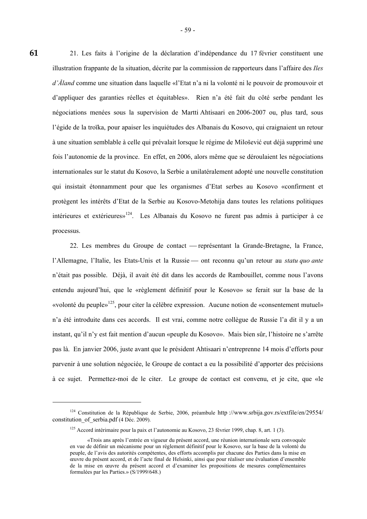21. Les faits à l'origine de la déclaration d'indépendance du 17 février constituent une illustration frappante de la situation, décrite par la commission de rapporteurs dans l'affaire des *Iles d'Åland* comme une situation dans laquelle «l'Etat n'a ni la volonté ni le pouvoir de promouvoir et d'appliquer des garanties réelles et équitables». Rien n'a été fait du côté serbe pendant les négociations menées sous la supervision de Martti Ahtisaari en 2006-2007 ou, plus tard, sous l'égide de la troïka, pour apaiser les inquiétudes des Albanais du Kosovo, qui craignaient un retour à une situation semblable à celle qui prévalait lorsque le régime de Milošević eut déjà supprimé une fois l'autonomie de la province. En effet, en 2006, alors même que se déroulaient les négociations internationales sur le statut du Kosovo, la Serbie a unilatéralement adopté une nouvelle constitution qui insistait étonnamment pour que les organismes d'Etat serbes au Kosovo «confirment et protègent les intérêts d'Etat de la Serbie au Kosovo-Metohija dans toutes les relations politiques intérieures et extérieures»<sup>124</sup>. Les Albanais du Kosovo ne furent pas admis à participer à ce processus.

22. Les membres du Groupe de contact — représentant la Grande-Bretagne, la France, l'Allemagne, l'Italie, les Etats-Unis et la Russie — ont reconnu qu'un retour au *statu quo ante* n'était pas possible. Déjà, il avait été dit dans les accords de Rambouillet, comme nous l'avons entendu aujourd'hui, que le «règlement définitif pour le Kosovo» se ferait sur la base de la «volonté du peuple»<sup>125</sup>, pour citer la célèbre expression. Aucune notion de «consentement mutuel» n'a été introduite dans ces accords. Il est vrai, comme notre collègue de Russie l'a dit il y a un instant, qu'il n'y est fait mention d'aucun «peuple du Kosovo». Mais bien sûr, l'histoire ne s'arrête pas là. En janvier 2006, juste avant que le président Ahtisaari n'entreprenne 14 mois d'efforts pour parvenir à une solution négociée, le Groupe de contact a eu la possibilité d'apporter des précisions à ce sujet. Permettez-moi de le citer. Le groupe de contact est convenu, et je cite, que «le

1

<sup>124</sup> Constitution de la République de Serbie, 2006, préambule http ://www.srbija.gov.rs/extfile/en/29554/ constitution of serbia.pdf (4 Déc. 2009).

<sup>&</sup>lt;sup>125</sup> Accord intérimaire pour la paix et l'autonomie au Kosovo, 23 février 1999, chap. 8, art. 1 (3).

 <sup>«</sup>Trois ans après l'entrée en vigueur du présent accord, une réunion internationale sera convoquée en vue de définir un mécanisme pour un règlement définitif pour le Kosovo, sur la base de la volonté du peuple, de l'avis des autorités compétentes, des efforts accomplis par chacune des Parties dans la mise en œuvre du présent accord, et de l'acte final de Helsinki, ainsi que pour réaliser une évaluation d'ensemble de la mise en œuvre du présent accord et d'examiner les propositions de mesures complémentaires formulées par les Parties.» (S/1999/648.)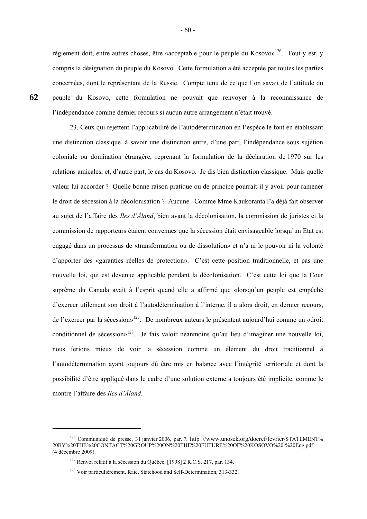règlement doit, entre autres choses, être «acceptable pour le peuple du Kosovo»<sup>126</sup>. Tout y est, y compris la désignation du peuple du Kosovo. Cette formulation a été acceptée par toutes les parties concernées, dont le représentant de la Russie. Compte tenu de ce que l'on savait de l'attitude du peuple du Kosovo, cette formulation ne pouvait que renvoyer à la reconnaissance de l'indépendance comme dernier recours si aucun autre arrangement n'était trouvé.

 23. Ceux qui rejettent l'applicabilité de l'autodétermination en l'espèce le font en établissant une distinction classique, à savoir une distinction entre, d'une part, l'indépendance sous sujétion coloniale ou domination étrangère, reprenant la formulation de la déclaration de 1970 sur les relations amicales, et, d'autre part, le cas du Kosovo. Je dis bien distinction classique. Mais quelle valeur lui accorder ? Quelle bonne raison pratique ou de principe pourrait-il y avoir pour ramener le droit de sécession à la décolonisation ? Aucune. Comme Mme Kaukoranta l'a déjà fait observer au sujet de l'affaire des *Iles d'Åland*, bien avant la décolonisation, la commission de juristes et la commission de rapporteurs étaient convenues que la sécession était envisageable lorsqu'un Etat est engagé dans un processus de «transformation ou de dissolution» et n'a ni le pouvoir ni la volonté d'apporter des «garanties réelles de protection». C'est cette position traditionnelle, et pas une nouvelle loi, qui est devenue applicable pendant la décolonisation. C'est cette loi que la Cour suprême du Canada avait à l'esprit quand elle a affirmé que «lorsqu'un peuple est empêché d'exercer utilement son droit à l'autodétermination à l'interne, il a alors droit, en dernier recours, de l'exercer par la sécession»127. De nombreux auteurs le présentent aujourd'hui comme un «droit conditionnel de sécession»<sup>128</sup>. Je fais valoir néanmoins qu'au lieu d'imaginer une nouvelle loi, nous ferions mieux de voir la sécession comme un élément du droit traditionnel à l'autodétermination ayant toujours dû être mis en balance avec l'intégrité territoriale et dont la possibilité d'être appliqué dans le cadre d'une solution externe a toujours été implicite, comme le montre l'affaire des *Iles d'Åland*.

1

<sup>&</sup>lt;sup>126</sup> Communiqué de presse, 31 janvier 2006, par. 7, http://www.unosek.org/docref/fevrier/STATEMENT% 20BY%20THE%20CONTACT%20GROUP%20ON%20THE%20FUTURE%20OF%20KOSOVO%20-%20Eng.pdf (4 décembre 2009).

<sup>127</sup> Renvoi relatif à la sécession du Québec, [1998] 2 R.C.S. 217, par. 134.

<sup>&</sup>lt;sup>128</sup> Voir particulièrement, Raic, Statehood and Self-Determination, 313-332.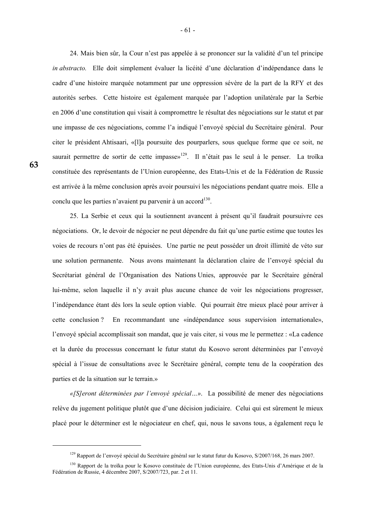24. Mais bien sûr, la Cour n'est pas appelée à se prononcer sur la validité d'un tel principe *in abstracto.* Elle doit simplement évaluer la licéité d'une déclaration d'indépendance dans le cadre d'une histoire marquée notamment par une oppression sévère de la part de la RFY et des autorités serbes. Cette histoire est également marquée par l'adoption unilatérale par la Serbie en 2006 d'une constitution qui visait à compromettre le résultat des négociations sur le statut et par une impasse de ces négociations, comme l'a indiqué l'envoyé spécial du Secrétaire général. Pour citer le président Ahtisaari, «[l]a poursuite des pourparlers, sous quelque forme que ce soit, ne saurait permettre de sortir de cette impasse»<sup>129</sup>. Il n'était pas le seul à le penser. La troïka constituée des représentants de l'Union européenne, des Etats-Unis et de la Fédération de Russie est arrivée à la même conclusion après avoir poursuivi les négociations pendant quatre mois. Elle a conclu que les parties n'avaient pu parvenir à un accord $^{130}$ .

 25. La Serbie et ceux qui la soutiennent avancent à présent qu'il faudrait poursuivre ces négociations. Or, le devoir de négocier ne peut dépendre du fait qu'une partie estime que toutes les voies de recours n'ont pas été épuisées. Une partie ne peut posséder un droit illimité de véto sur une solution permanente. Nous avons maintenant la déclaration claire de l'envoyé spécial du Secrétariat général de l'Organisation des Nations Unies, approuvée par le Secrétaire général lui-même, selon laquelle il n'y avait plus aucune chance de voir les négociations progresser, l'indépendance étant dès lors la seule option viable. Qui pourrait être mieux placé pour arriver à cette conclusion ? En recommandant une «indépendance sous supervision internationale», l'envoyé spécial accomplissait son mandat, que je vais citer, si vous me le permettez : «La cadence et la durée du processus concernant le futur statut du Kosovo seront déterminées par l'envoyé spécial à l'issue de consultations avec le Secrétaire général, compte tenu de la coopération des parties et de la situation sur le terrain.»

 *«[S]eront déterminées par l'envoyé spécial…»*. La possibilité de mener des négociations relève du jugement politique plutôt que d'une décision judiciaire. Celui qui est sûrement le mieux placé pour le déterminer est le négociateur en chef, qui, nous le savons tous, a également reçu le

<sup>&</sup>lt;sup>129</sup> Rapport de l'envoyé spécial du Secrétaire général sur le statut futur du Kosovo, S/2007/168, 26 mars 2007.

<sup>&</sup>lt;sup>130</sup> Rapport de la troïka pour le Kosovo constituée de l'Union européenne, des Etats-Unis d'Amérique et de la Fédération de Russie, 4 décembre 2007, S/2007/723, par. 2 et 11.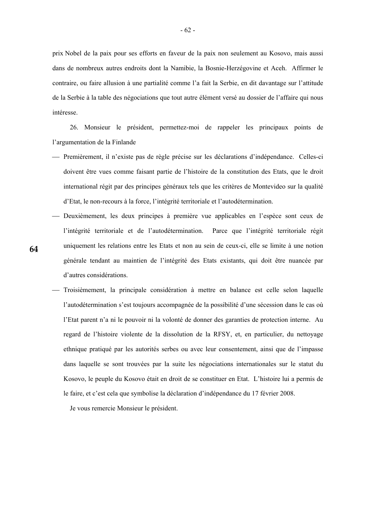prix Nobel de la paix pour ses efforts en faveur de la paix non seulement au Kosovo, mais aussi dans de nombreux autres endroits dont la Namibie, la Bosnie-Herzégovine et Aceh. Affirmer le contraire, ou faire allusion à une partialité comme l'a fait la Serbie, en dit davantage sur l'attitude de la Serbie à la table des négociations que tout autre élément versé au dossier de l'affaire qui nous intéresse.

 26. Monsieur le président, permettez-moi de rappeler les principaux points de l'argumentation de la Finlande

- ⎯ Premièrement, il n'existe pas de règle précise sur les déclarations d'indépendance. Celles-ci doivent être vues comme faisant partie de l'histoire de la constitution des Etats, que le droit international régit par des principes généraux tels que les critères de Montevideo sur la qualité d'Etat, le non-recours à la force, l'intégrité territoriale et l'autodétermination.
- Deuxièmement, les deux principes à première vue applicables en l'espèce sont ceux de l'intégrité territoriale et de l'autodétermination. Parce que l'intégrité territoriale régit uniquement les relations entre les Etats et non au sein de ceux-ci, elle se limite à une notion générale tendant au maintien de l'intégrité des Etats existants, qui doit être nuancée par d'autres considérations.
	- ⎯ Troisièmement, la principale considération à mettre en balance est celle selon laquelle l'autodétermination s'est toujours accompagnée de la possibilité d'une sécession dans le cas où l'Etat parent n'a ni le pouvoir ni la volonté de donner des garanties de protection interne. Au regard de l'histoire violente de la dissolution de la RFSY, et, en particulier, du nettoyage ethnique pratiqué par les autorités serbes ou avec leur consentement, ainsi que de l'impasse dans laquelle se sont trouvées par la suite les négociations internationales sur le statut du Kosovo, le peuple du Kosovo était en droit de se constituer en Etat. L'histoire lui a permis de le faire, et c'est cela que symbolise la déclaration d'indépendance du 17 février 2008.

Je vous remercie Monsieur le président.